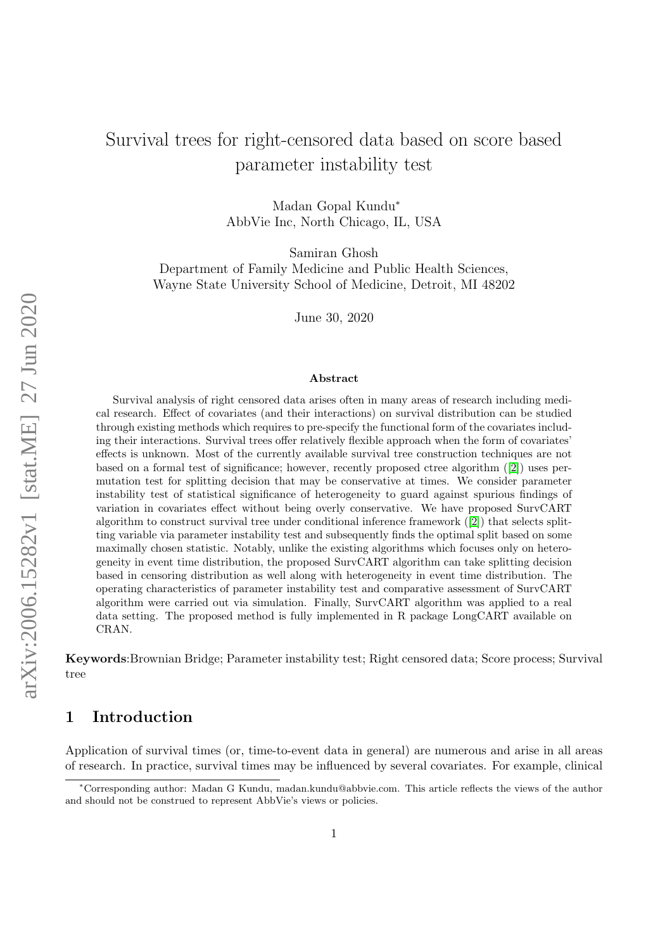# Survival trees for right-censored data based on score based parameter instability test

Madan Gopal Kundu<sup>∗</sup> AbbVie Inc, North Chicago, IL, USA

Samiran Ghosh

Department of Family Medicine and Public Health Sciences, Wayne State University School of Medicine, Detroit, MI 48202

June 30, 2020

#### Abstract

Survival analysis of right censored data arises often in many areas of research including medical research. Effect of covariates (and their interactions) on survival distribution can be studied through existing methods which requires to pre-specify the functional form of the covariates including their interactions. Survival trees offer relatively flexible approach when the form of covariates' effects is unknown. Most of the currently available survival tree construction techniques are not based on a formal test of significance; however, recently proposed ctree algorithm ([\[2\]](#page-18-0)) uses permutation test for splitting decision that may be conservative at times. We consider parameter instability test of statistical significance of heterogeneity to guard against spurious findings of variation in covariates effect without being overly conservative. We have proposed SurvCART algorithm to construct survival tree under conditional inference framework ([\[2\]](#page-18-0)) that selects splitting variable via parameter instability test and subsequently finds the optimal split based on some maximally chosen statistic. Notably, unlike the existing algorithms which focuses only on heterogeneity in event time distribution, the proposed SurvCART algorithm can take splitting decision based in censoring distribution as well along with heterogeneity in event time distribution. The operating characteristics of parameter instability test and comparative assessment of SurvCART algorithm were carried out via simulation. Finally, SurvCART algorithm was applied to a real data setting. The proposed method is fully implemented in R package LongCART available on CRAN.

Keywords:Brownian Bridge; Parameter instability test; Right censored data; Score process; Survival tree

# 1 Introduction

Application of survival times (or, time-to-event data in general) are numerous and arise in all areas of research. In practice, survival times may be influenced by several covariates. For example, clinical

<sup>∗</sup>Corresponding author: Madan G Kundu, madan.kundu@abbvie.com. This article reflects the views of the author and should not be construed to represent AbbVie's views or policies.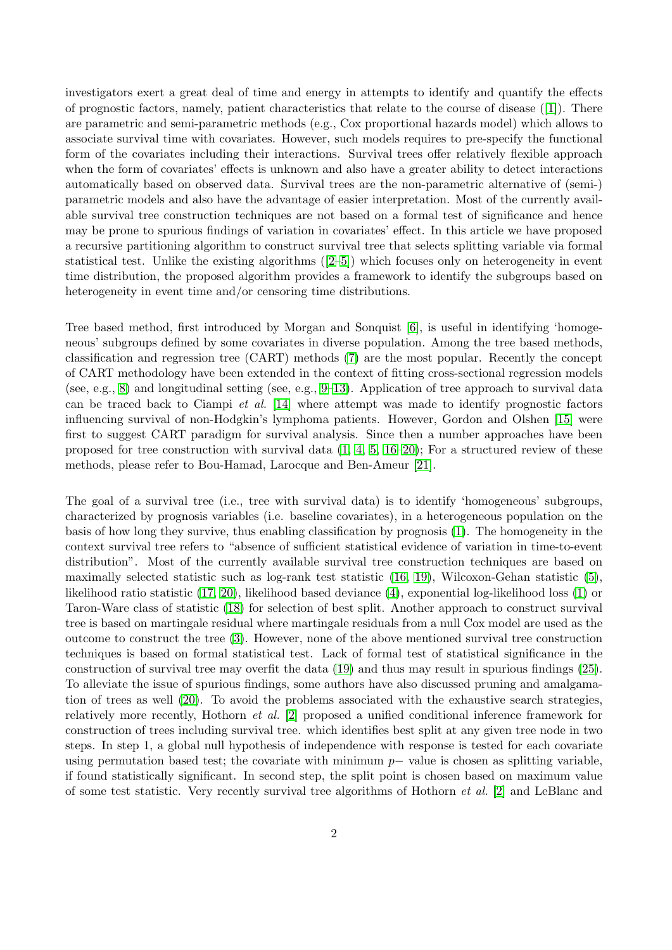investigators exert a great deal of time and energy in attempts to identify and quantify the effects of prognostic factors, namely, patient characteristics that relate to the course of disease ([\[1\]](#page-18-1)). There are parametric and semi-parametric methods (e.g., Cox proportional hazards model) which allows to associate survival time with covariates. However, such models requires to pre-specify the functional form of the covariates including their interactions. Survival trees offer relatively flexible approach when the form of covariates' effects is unknown and also have a greater ability to detect interactions automatically based on observed data. Survival trees are the non-parametric alternative of (semi-) parametric models and also have the advantage of easier interpretation. Most of the currently available survival tree construction techniques are not based on a formal test of significance and hence may be prone to spurious findings of variation in covariates' effect. In this article we have proposed a recursive partitioning algorithm to construct survival tree that selects splitting variable via formal statistical test. Unlike the existing algorithms ([\[2–](#page-18-0)[5\]](#page-18-2)) which focuses only on heterogeneity in event time distribution, the proposed algorithm provides a framework to identify the subgroups based on heterogeneity in event time and/or censoring time distributions.

Tree based method, first introduced by Morgan and Sonquist [\[6\]](#page-18-3), is useful in identifying 'homogeneous' subgroups defined by some covariates in diverse population. Among the tree based methods, classification and regression tree (CART) methods [\(7\)](#page-18-4) are the most popular. Recently the concept of CART methodology have been extended in the context of fitting cross-sectional regression models (see, e.g., [8\)](#page-18-5) and longitudinal setting (see, e.g.,  $9-13$ ). Application of tree approach to survival data can be traced back to Ciampi *et al.* [\[14\]](#page-18-8) where attempt was made to identify prognostic factors influencing survival of non-Hodgkin's lymphoma patients. However, Gordon and Olshen [\[15\]](#page-18-9) were first to suggest CART paradigm for survival analysis. Since then a number approaches have been proposed for tree construction with survival data  $(1, 4, 5, 16-20)$  $(1, 4, 5, 16-20)$  $(1, 4, 5, 16-20)$  $(1, 4, 5, 16-20)$  $(1, 4, 5, 16-20)$ ; For a structured review of these methods, please refer to Bou-Hamad, Larocque and Ben-Ameur [\[21\]](#page-19-1).

The goal of a survival tree (i.e., tree with survival data) is to identify 'homogeneous' subgroups, characterized by prognosis variables (i.e. baseline covariates), in a heterogeneous population on the basis of how long they survive, thus enabling classification by prognosis [\(1\)](#page-18-1). The homogeneity in the context survival tree refers to "absence of sufficient statistical evidence of variation in time-to-event distribution". Most of the currently available survival tree construction techniques are based on maximally selected statistic such as log-rank test statistic [\(16,](#page-18-11) [19\)](#page-19-2), Wilcoxon-Gehan statistic [\(5\)](#page-18-2), likelihood ratio statistic [\(17,](#page-19-3) [20\)](#page-19-0), likelihood based deviance [\(4\)](#page-18-10), exponential log-likelihood loss [\(1\)](#page-18-1) or Taron-Ware class of statistic [\(18\)](#page-19-4) for selection of best split. Another approach to construct survival tree is based on martingale residual where martingale residuals from a null Cox model are used as the outcome to construct the tree [\(3\)](#page-18-12). However, none of the above mentioned survival tree construction techniques is based on formal statistical test. Lack of formal test of statistical significance in the construction of survival tree may overfit the data [\(19\)](#page-19-2) and thus may result in spurious findings [\(25\)](#page-19-5). To alleviate the issue of spurious findings, some authors have also discussed pruning and amalgamation of trees as well [\(20\)](#page-19-0). To avoid the problems associated with the exhaustive search strategies, relatively more recently, Hothorn et al. [\[2\]](#page-18-0) proposed a unified conditional inference framework for construction of trees including survival tree. which identifies best split at any given tree node in two steps. In step 1, a global null hypothesis of independence with response is tested for each covariate using permutation based test; the covariate with minimum  $p-\nu$  value is chosen as splitting variable, if found statistically significant. In second step, the split point is chosen based on maximum value of some test statistic. Very recently survival tree algorithms of Hothorn et al. [\[2\]](#page-18-0) and LeBlanc and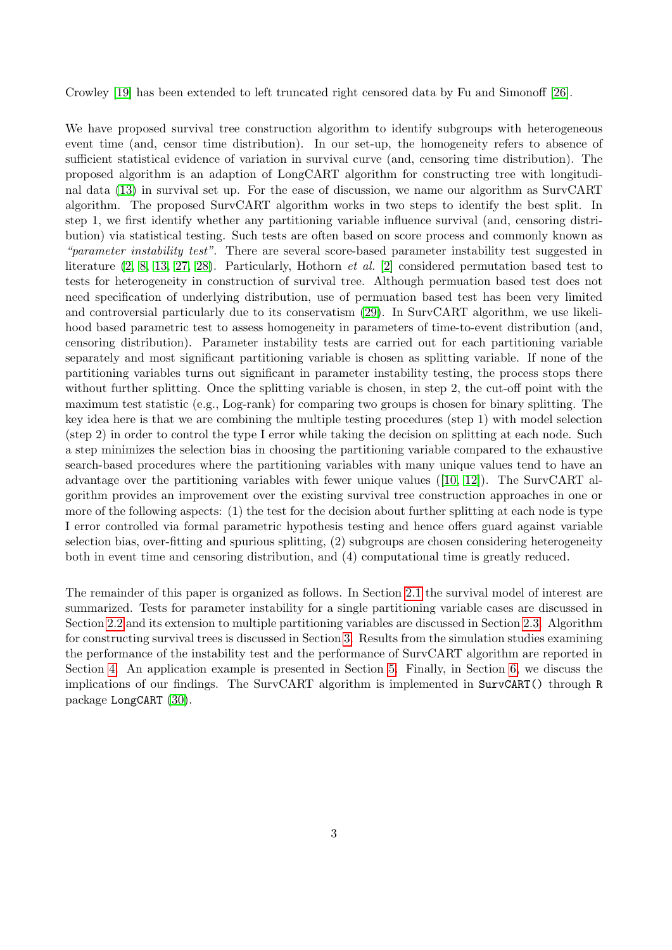Crowley [\[19\]](#page-19-2) has been extended to left truncated right censored data by Fu and Simonoff [\[26\]](#page-19-6).

We have proposed survival tree construction algorithm to identify subgroups with heterogeneous event time (and, censor time distribution). In our set-up, the homogeneity refers to absence of sufficient statistical evidence of variation in survival curve (and, censoring time distribution). The proposed algorithm is an adaption of LongCART algorithm for constructing tree with longitudinal data [\(13\)](#page-18-7) in survival set up. For the ease of discussion, we name our algorithm as SurvCART algorithm. The proposed SurvCART algorithm works in two steps to identify the best split. In step 1, we first identify whether any partitioning variable influence survival (and, censoring distribution) via statistical testing. Such tests are often based on score process and commonly known as "parameter instability test". There are several score-based parameter instability test suggested in literature  $(2, 8, 13, 27, 28)$  $(2, 8, 13, 27, 28)$  $(2, 8, 13, 27, 28)$  $(2, 8, 13, 27, 28)$  $(2, 8, 13, 27, 28)$ . Particularly, Hothorn *et al.* [\[2\]](#page-18-0) considered permutation based test to tests for heterogeneity in construction of survival tree. Although permuation based test does not need specification of underlying distribution, use of permuation based test has been very limited and controversial particularly due to its conservatism [\(29\)](#page-19-9). In SurvCART algorithm, we use likelihood based parametric test to assess homogeneity in parameters of time-to-event distribution (and, censoring distribution). Parameter instability tests are carried out for each partitioning variable separately and most significant partitioning variable is chosen as splitting variable. If none of the partitioning variables turns out significant in parameter instability testing, the process stops there without further splitting. Once the splitting variable is chosen, in step 2, the cut-off point with the maximum test statistic (e.g., Log-rank) for comparing two groups is chosen for binary splitting. The key idea here is that we are combining the multiple testing procedures (step 1) with model selection (step 2) in order to control the type I error while taking the decision on splitting at each node. Such a step minimizes the selection bias in choosing the partitioning variable compared to the exhaustive search-based procedures where the partitioning variables with many unique values tend to have an advantage over the partitioning variables with fewer unique values ([\[10,](#page-18-13) [12\]](#page-18-14)). The SurvCART algorithm provides an improvement over the existing survival tree construction approaches in one or more of the following aspects: (1) the test for the decision about further splitting at each node is type I error controlled via formal parametric hypothesis testing and hence offers guard against variable selection bias, over-fitting and spurious splitting, (2) subgroups are chosen considering heterogeneity both in event time and censoring distribution, and (4) computational time is greatly reduced.

The remainder of this paper is organized as follows. In Section [2.1](#page-3-0) the survival model of interest are summarized. Tests for parameter instability for a single partitioning variable cases are discussed in Section [2.2](#page-3-1) and its extension to multiple partitioning variables are discussed in Section [2.3.](#page-6-0) Algorithm for constructing survival trees is discussed in Section [3.](#page-7-0) Results from the simulation studies examining the performance of the instability test and the performance of SurvCART algorithm are reported in Section [4.](#page-8-0) An application example is presented in Section [5.](#page-14-0) Finally, in Section [6,](#page-17-0) we discuss the implications of our findings. The SurvCART algorithm is implemented in SurvCART() through R package LongCART [\(30\)](#page-19-10).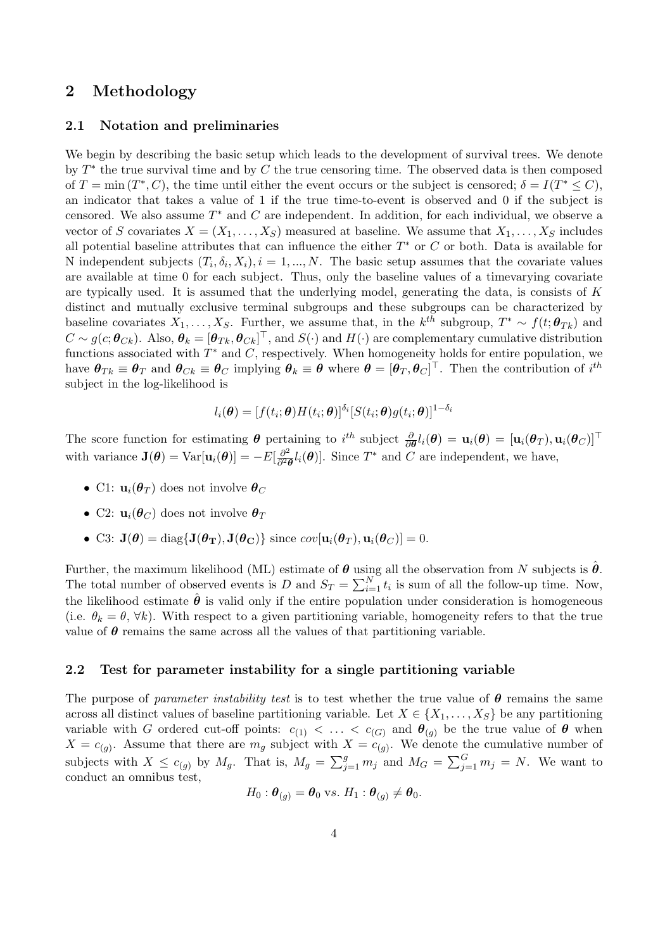# 2 Methodology

#### <span id="page-3-0"></span>2.1 Notation and preliminaries

We begin by describing the basic setup which leads to the development of survival trees. We denote by  $T^*$  the true survival time and by C the true censoring time. The observed data is then composed of  $T = \min(T^*, C)$ , the time until either the event occurs or the subject is censored;  $\delta = I(T^* \leq C)$ , an indicator that takes a value of 1 if the true time-to-event is observed and 0 if the subject is censored. We also assume  $T^*$  and  $C$  are independent. In addition, for each individual, we observe a vector of S covariates  $X = (X_1, \ldots, X_S)$  measured at baseline. We assume that  $X_1, \ldots, X_S$  includes all potential baseline attributes that can influence the either  $T^*$  or  $C$  or both. Data is available for N independent subjects  $(T_i, \delta_i, X_i), i = 1, ..., N$ . The basic setup assumes that the covariate values are available at time 0 for each subject. Thus, only the baseline values of a timevarying covariate are typically used. It is assumed that the underlying model, generating the data, is consists of  $K$ distinct and mutually exclusive terminal subgroups and these subgroups can be characterized by baseline covariates  $X_1, \ldots, X_S$ . Further, we assume that, in the  $k^{th}$  subgroup,  $T^* \sim f(t; \theta_{Tk})$  and  $C\sim g(c;\theta_{Ck})$ . Also,  $\theta_k=[\theta_{Tk},\theta_{Ck}]^\top$ , and  $S(\cdot)$  and  $H(\cdot)$  are complementary cumulative distribution functions associated with  $T^*$  and  $C$ , respectively. When homogeneity holds for entire population, we have  $\boldsymbol{\theta}_{Tk} \equiv \boldsymbol{\theta}_T$  and  $\boldsymbol{\theta}_{Ck} \equiv \boldsymbol{\theta}_C$  implying  $\boldsymbol{\theta}_k \equiv \boldsymbol{\theta}$  where  $\boldsymbol{\theta} = [\boldsymbol{\theta}_T, \boldsymbol{\theta}_C]^\top$ . Then the contribution of  $i^{th}$ subject in the log-likelihood is

$$
l_i(\boldsymbol{\theta}) = [f(t_i; \boldsymbol{\theta}) H(t_i; \boldsymbol{\theta})]^{\delta_i} [S(t_i; \boldsymbol{\theta}) g(t_i; \boldsymbol{\theta})]^{1-\delta_i}
$$

The score function for estimating  $\boldsymbol{\theta}$  pertaining to  $i^{th}$  subject  $\frac{\partial}{\partial \boldsymbol{\theta}}l_i(\boldsymbol{\theta}) = \mathbf{u}_i(\boldsymbol{\theta}) = [\mathbf{u}_i(\boldsymbol{\theta}_T), \mathbf{u}_i(\boldsymbol{\theta}_C)]^\top$ with variance  $\mathbf{J}(\boldsymbol{\theta}) = \text{Var}[\mathbf{u}_i(\boldsymbol{\theta})] = -E[\frac{\partial^2}{\partial^2 \boldsymbol{\theta}}]$  $\frac{\partial^2}{\partial^2 \theta} l_i(\theta)$ . Since  $T^*$  and C are independent, we have,

- C1:  $\mathbf{u}_i(\boldsymbol{\theta}_T)$  does not involve  $\boldsymbol{\theta}_C$
- C2:  $\mathbf{u}_i(\boldsymbol{\theta}_C)$  does not involve  $\boldsymbol{\theta}_T$
- C3:  $\mathbf{J}(\boldsymbol{\theta}) = \text{diag}\{\mathbf{J}(\boldsymbol{\theta}_T), \mathbf{J}(\boldsymbol{\theta}_C)\}\$  since  $cov[\mathbf{u}_i(\boldsymbol{\theta}_T), \mathbf{u}_i(\boldsymbol{\theta}_C)] = 0$ .

Further, the maximum likelihood (ML) estimate of  $\theta$  using all the observation from N subjects is  $\theta$ . The total number of observed events is D and  $S_T = \sum_{i=1}^N t_i$  is sum of all the follow-up time. Now, the likelihood estimate  $\hat{\theta}$  is valid only if the entire population under consideration is homogeneous (i.e.  $\theta_k = \theta, \forall k$ ). With respect to a given partitioning variable, homogeneity refers to that the true value of  $\theta$  remains the same across all the values of that partitioning variable.

### <span id="page-3-1"></span>2.2 Test for parameter instability for a single partitioning variable

The purpose of parameter instability test is to test whether the true value of  $\theta$  remains the same across all distinct values of baseline partitioning variable. Let  $X \in \{X_1, \ldots, X_S\}$  be any partitioning variable with G ordered cut-off points:  $c_{(1)} < \ldots < c_{(G)}$  and  $\theta_{(q)}$  be the true value of  $\theta$  when  $X = c_{(g)}$ . Assume that there are  $m_g$  subject with  $X = c_{(g)}$ . We denote the cumulative number of subjects with  $X \leq c_{(g)}$  by  $M_g$ . That is,  $M_g = \sum_{j=1}^g m_j$  and  $M_G = \sum_{j=1}^G m_j = N$ . We want to conduct an omnibus test,

$$
H_0: \boldsymbol{\theta}_{(g)} = \boldsymbol{\theta}_0 \text{ vs. } H_1: \boldsymbol{\theta}_{(g)} \neq \boldsymbol{\theta}_0.
$$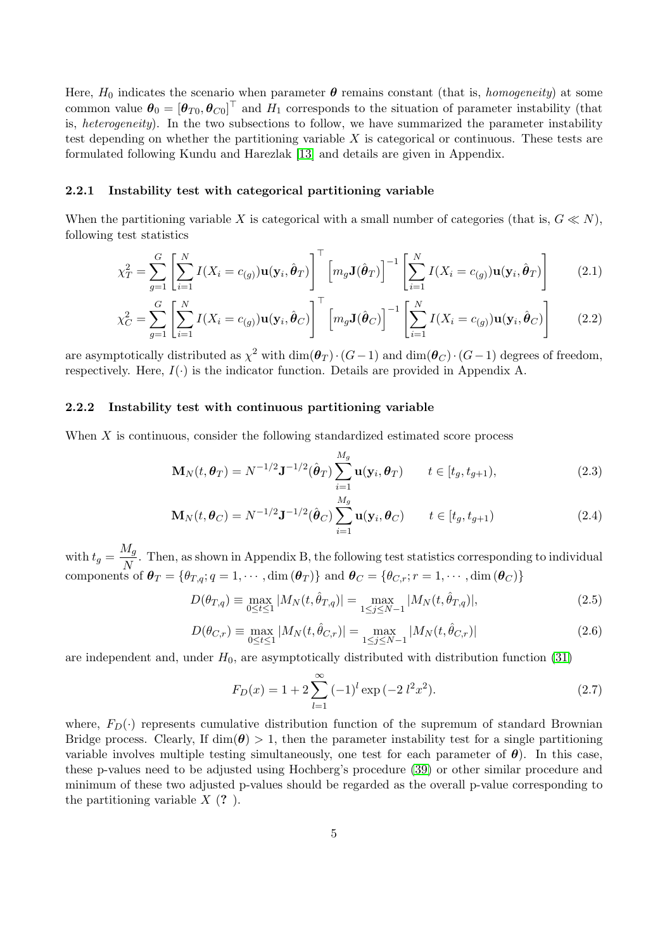Here,  $H_0$  indicates the scenario when parameter  $\theta$  remains constant (that is, *homogeneity*) at some common value  $\theta_0 = [\theta_{T0}, \theta_{C0}]^\top$  and  $H_1$  corresponds to the situation of parameter instability (that is, heterogeneity). In the two subsections to follow, we have summarized the parameter instability test depending on whether the partitioning variable  $X$  is categorical or continuous. These tests are formulated following Kundu and Harezlak [\[13\]](#page-18-7) and details are given in Appendix.

### <span id="page-4-0"></span>2.2.1 Instability test with categorical partitioning variable

When the partitioning variable X is categorical with a small number of categories (that is,  $G \ll N$ ), following test statistics

$$
\chi_T^2 = \sum_{g=1}^G \left[ \sum_{i=1}^N I(X_i = c_{(g)}) \mathbf{u}(\mathbf{y}_i, \hat{\boldsymbol{\theta}}_T) \right]^\top \left[ m_g \mathbf{J}(\hat{\boldsymbol{\theta}}_T) \right]^{-1} \left[ \sum_{i=1}^N I(X_i = c_{(g)}) \mathbf{u}(\mathbf{y}_i, \hat{\boldsymbol{\theta}}_T) \right]
$$
(2.1)

$$
\chi_C^2 = \sum_{g=1}^G \left[ \sum_{i=1}^N I(X_i = c_{(g)}) \mathbf{u}(\mathbf{y}_i, \hat{\boldsymbol{\theta}}_C) \right]^\top \left[ m_g \mathbf{J}(\hat{\boldsymbol{\theta}}_C) \right]^{-1} \left[ \sum_{i=1}^N I(X_i = c_{(g)}) \mathbf{u}(\mathbf{y}_i, \hat{\boldsymbol{\theta}}_C) \right]
$$
(2.2)

are asymptotically distributed as  $\chi^2$  with  $\dim(\theta_T) \cdot (G-1)$  and  $\dim(\theta_C) \cdot (G-1)$  degrees of freedom, respectively. Here,  $I(\cdot)$  is the indicator function. Details are provided in Appendix A.

#### <span id="page-4-1"></span>2.2.2 Instability test with continuous partitioning variable

When X is continuous, consider the following standardized estimated score process

<span id="page-4-3"></span><span id="page-4-2"></span>
$$
\mathbf{M}_{N}(t,\boldsymbol{\theta}_{T})=N^{-1/2}\mathbf{J}^{-1/2}(\hat{\boldsymbol{\theta}}_{T})\sum_{i=1}^{M_{g}}\mathbf{u}(\mathbf{y}_{i},\boldsymbol{\theta}_{T})\qquad t\in[t_{g},t_{g+1}),
$$
\n(2.3)

$$
\mathbf{M}_{N}(t,\boldsymbol{\theta}_{C})=N^{-1/2}\mathbf{J}^{-1/2}(\hat{\boldsymbol{\theta}}_{C})\sum_{i=1}^{M_{g}}\mathbf{u}(\mathbf{y}_{i},\boldsymbol{\theta}_{C})\qquad t\in[t_{g},t_{g+1})
$$
\n(2.4)

with  $t_g = \frac{M_g}{N}$  $\frac{M_g}{N}$ . Then, as shown in Appendix B, the following test statistics corresponding to individual components of  $\theta_T = \{\theta_{T,q}; q = 1, \cdots, \text{dim}(\theta_T)\}\$ and  $\theta_C = \{\theta_{C,r}; r = 1, \cdots, \text{dim}(\theta_C)\}\$ 

<span id="page-4-4"></span>
$$
D(\theta_{T,q}) \equiv \max_{0 \le t \le 1} |M_N(t, \hat{\theta}_{T,q})| = \max_{1 \le j \le N-1} |M_N(t, \hat{\theta}_{T,q})|,\tag{2.5}
$$

<span id="page-4-5"></span>
$$
D(\theta_{C,r}) \equiv \max_{0 \le t \le 1} |M_N(t, \hat{\theta}_{C,r})| = \max_{1 \le j \le N-1} |M_N(t, \hat{\theta}_{C,r})|
$$
\n(2.6)

are independent and, under  $H_0$ , are asymptotically distributed with distribution function [\(31\)](#page-19-11)

<span id="page-4-6"></span>
$$
F_D(x) = 1 + 2 \sum_{l=1}^{\infty} (-1)^l \exp(-2 l^2 x^2).
$$
 (2.7)

where,  $F_D(\cdot)$  represents cumulative distribution function of the supremum of standard Brownian Bridge process. Clearly, If  $\dim(\theta) > 1$ , then the parameter instability test for a single partitioning variable involves multiple testing simultaneously, one test for each parameter of  $\theta$ ). In this case, these p-values need to be adjusted using Hochberg's procedure [\(39\)](#page-20-0) or other similar procedure and minimum of these two adjusted p-values should be regarded as the overall p-value corresponding to the partitioning variable  $X(?)$ .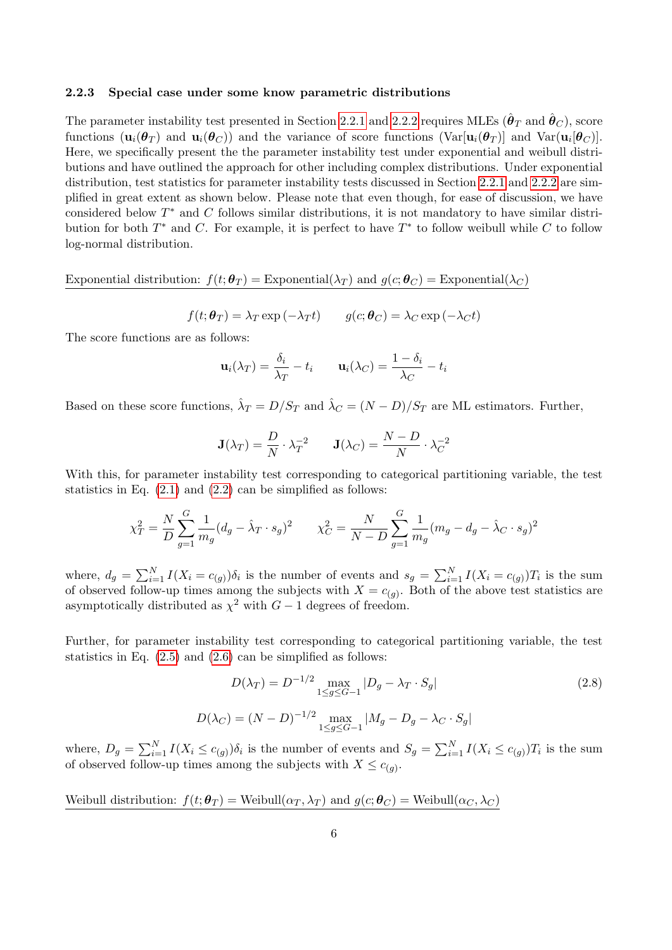#### 2.2.3 Special case under some know parametric distributions

The parameter instability test presented in Section [2.2.1](#page-4-0) and [2.2.2](#page-4-1) requires MLEs  $(\hat{\bm{\theta}}_T$  and  $\hat{\bm{\theta}}_C)$ , score functions  $(\mathbf{u}_i(\boldsymbol{\theta}_T)$  and  $\mathbf{u}_i(\boldsymbol{\theta}_C))$  and the variance of score functions  $(\text{Var}[\mathbf{u}_i(\boldsymbol{\theta}_T))]$  and  $\text{Var}(\mathbf{u}_i[\boldsymbol{\theta}_C)]$ . Here, we specifically present the the parameter instability test under exponential and weibull distributions and have outlined the approach for other including complex distributions. Under exponential distribution, test statistics for parameter instability tests discussed in Section [2.2.1](#page-4-0) and [2.2.2](#page-4-1) are simplified in great extent as shown below. Please note that even though, for ease of discussion, we have considered below  $T^*$  and  $C$  follows similar distributions, it is not mandatory to have similar distribution for both  $T^*$  and C. For example, it is perfect to have  $T^*$  to follow weibull while C to follow log-normal distribution.

Exponential distribution:  $f(t; \theta_T) =$  Exponential( $\lambda_T$ ) and  $g(c; \theta_C) =$  Exponential( $\lambda_C$ )

 $f(t; \theta_T) = \lambda_T \exp(-\lambda_T t)$   $q(c; \theta_C) = \lambda_C \exp(-\lambda_C t)$ 

The score functions are as follows:

$$
\mathbf{u}_i(\lambda_T) = \frac{\delta_i}{\lambda_T} - t_i \qquad \mathbf{u}_i(\lambda_C) = \frac{1 - \delta_i}{\lambda_C} - t_i
$$

Based on these score functions,  $\hat{\lambda}_T = D/S_T$  and  $\hat{\lambda}_C = (N - D)/S_T$  are ML estimators. Further,

$$
\mathbf{J}(\lambda_T) = \frac{D}{N} \cdot \lambda_T^{-2} \qquad \mathbf{J}(\lambda_C) = \frac{N - D}{N} \cdot \lambda_C^{-2}
$$

With this, for parameter instability test corresponding to categorical partitioning variable, the test statistics in Eq.  $(2.1)$  and  $(2.2)$  can be simplified as follows:

$$
\chi_T^2 = \frac{N}{D} \sum_{g=1}^G \frac{1}{m_g} (d_g - \hat{\lambda}_T \cdot s_g)^2 \qquad \chi_C^2 = \frac{N}{N - D} \sum_{g=1}^G \frac{1}{m_g} (m_g - d_g - \hat{\lambda}_C \cdot s_g)^2
$$

where,  $d_g = \sum_{i=1}^{N} I(X_i = c_{(g)}) \delta_i$  is the number of events and  $s_g = \sum_{i=1}^{N} I(X_i = c_{(g)}) T_i$  is the sum of observed follow-up times among the subjects with  $X = c_{(g)}$ . Both of the above test statistics are asymptotically distributed as  $\chi^2$  with  $G-1$  degrees of freedom.

Further, for parameter instability test corresponding to categorical partitioning variable, the test statistics in Eq.  $(2.5)$  and  $(2.6)$  can be simplified as follows:

<span id="page-5-0"></span>
$$
D(\lambda_T) = D^{-1/2} \max_{1 \le g \le G-1} |D_g - \lambda_T \cdot S_g|
$$
  
\n
$$
D(\lambda_C) = (N - D)^{-1/2} \max_{1 \le g \le G-1} |M_g - D_g - \lambda_C \cdot S_g|
$$
\n(2.8)

where,  $D_g = \sum_{i=1}^N I(X_i \leq c_{(g)}) \delta_i$  is the number of events and  $S_g = \sum_{i=1}^N I(X_i \leq c_{(g)}) T_i$  is the sum of observed follow-up times among the subjects with  $X \leq c_{(g)}$ .

Weibull distribution:  $f(t; \theta_T) =$  Weibull $(\alpha_T, \lambda_T)$  and  $g(c; \theta_C) =$  Weibull $(\alpha_C, \lambda_C)$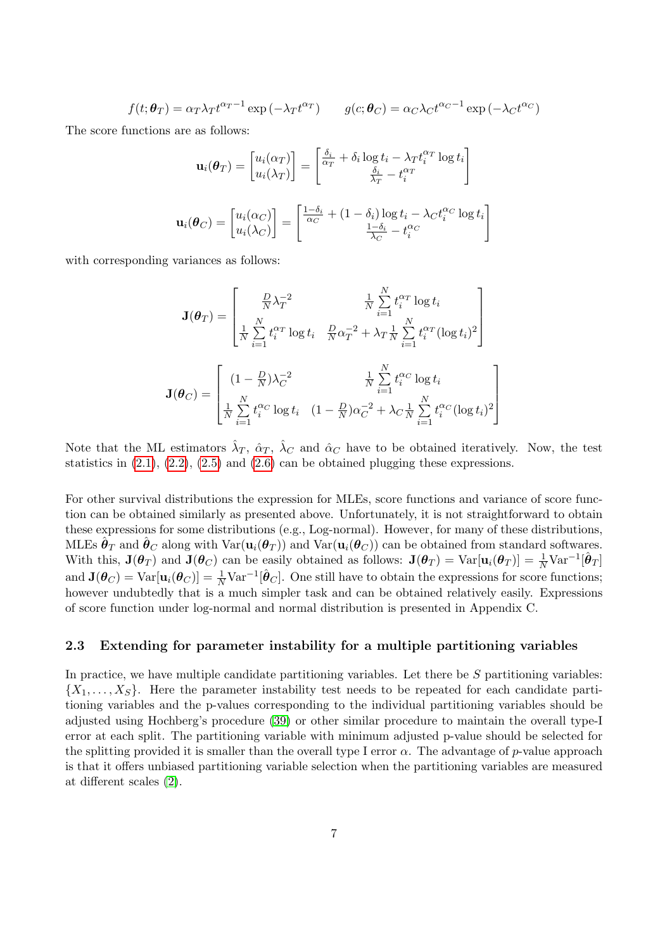$$
f(t; \boldsymbol{\theta}_T) = \alpha_T \lambda_T t^{\alpha_T - 1} \exp\left(-\lambda_T t^{\alpha_T}\right) \qquad g(c; \boldsymbol{\theta}_C) = \alpha_C \lambda_C t^{\alpha_C - 1} \exp\left(-\lambda_C t^{\alpha_C}\right)
$$

The score functions are as follows:

$$
\mathbf{u}_{i}(\boldsymbol{\theta}_{T}) = \begin{bmatrix} u_{i}(\alpha_{T}) \\ u_{i}(\lambda_{T}) \end{bmatrix} = \begin{bmatrix} \frac{\delta_{i}}{\alpha_{T}} + \delta_{i} \log t_{i} - \lambda_{T} t_{i}^{\alpha_{T}} \log t_{i} \\ \frac{\delta_{i}}{\lambda_{T}} - t_{i}^{\alpha_{T}} \end{bmatrix}
$$

$$
\mathbf{u}_{i}(\boldsymbol{\theta}_{C}) = \begin{bmatrix} u_{i}(\alpha_{C}) \\ u_{i}(\lambda_{C}) \end{bmatrix} = \begin{bmatrix} \frac{1-\delta_{i}}{\alpha_{C}} + (1-\delta_{i}) \log t_{i} - \lambda_{C} t_{i}^{\alpha_{C}} \log t_{i} \\ \frac{1-\delta_{i}}{\lambda_{C}} - t_{i}^{\alpha_{C}} \end{bmatrix}
$$

with corresponding variances as follows:

$$
\mathbf{J}(\boldsymbol{\theta}_{T}) = \begin{bmatrix} \frac{D}{N} \lambda_{T}^{-2} & \frac{1}{N} \sum_{i=1}^{N} t_{i}^{\alpha_{T}} \log t_{i} \\ \frac{1}{N} \sum_{i=1}^{N} t_{i}^{\alpha_{T}} \log t_{i} & \frac{D}{N} \alpha_{T}^{-2} + \lambda_{T} \sum_{i=1}^{N} t_{i}^{\alpha_{T}} (\log t_{i})^{2} \end{bmatrix}
$$

$$
\mathbf{J}(\boldsymbol{\theta}_{C}) = \begin{bmatrix} (1 - \frac{D}{N}) \lambda_{C}^{-2} & \frac{1}{N} \sum_{i=1}^{N} t_{i}^{\alpha_{C}} \log t_{i} \\ \frac{1}{N} \sum_{i=1}^{N} t_{i}^{\alpha_{C}} \log t_{i} & (1 - \frac{D}{N}) \alpha_{C}^{-2} + \lambda_{C} \frac{1}{N} \sum_{i=1}^{N} t_{i}^{\alpha_{C}} (\log t_{i})^{2} \end{bmatrix}
$$

Note that the ML estimators  $\hat{\lambda}_T$ ,  $\hat{\alpha}_T$ ,  $\hat{\lambda}_C$  and  $\hat{\alpha}_C$  have to be obtained iteratively. Now, the test statistics in  $(2.1)$ ,  $(2.2)$ ,  $(2.5)$  and  $(2.6)$  can be obtained plugging these expressions.

For other survival distributions the expression for MLEs, score functions and variance of score function can be obtained similarly as presented above. Unfortunately, it is not straightforward to obtain these expressions for some distributions (e.g., Log-normal). However, for many of these distributions, MLEs  $\hat{\theta}_T$  and  $\hat{\theta}_C$  along with  $\text{Var}(\mathbf{u}_i(\theta_T))$  and  $\text{Var}(\mathbf{u}_i(\theta_C))$  can be obtained from standard softwares. With this,  $\mathbf{J}(\boldsymbol{\theta}_T)$  and  $\mathbf{J}(\boldsymbol{\theta}_C)$  can be easily obtained as follows:  $\mathbf{J}(\boldsymbol{\theta}_T) = \text{Var}[\mathbf{u}_i(\boldsymbol{\theta}_T)] = \frac{1}{N} \text{Var}^{-1}[\hat{\boldsymbol{\theta}}_T]$ and  $\mathbf{J}(\boldsymbol{\theta}_C) = \text{Var}[\mathbf{u}_i(\boldsymbol{\theta}_C)] = \frac{1}{N} \text{Var}^{-1}[\hat{\boldsymbol{\theta}}_C]$ . One still have to obtain the expressions for score functions; however undubtedly that is a much simpler task and can be obtained relatively easily. Expressions of score function under log-normal and normal distribution is presented in Appendix C.

### <span id="page-6-0"></span>2.3 Extending for parameter instability for a multiple partitioning variables

In practice, we have multiple candidate partitioning variables. Let there be  $S$  partitioning variables:  $\{X_1, \ldots, X_S\}$ . Here the parameter instability test needs to be repeated for each candidate partitioning variables and the p-values corresponding to the individual partitioning variables should be adjusted using Hochberg's procedure [\(39\)](#page-20-0) or other similar procedure to maintain the overall type-I error at each split. The partitioning variable with minimum adjusted p-value should be selected for the splitting provided it is smaller than the overall type I error  $\alpha$ . The advantage of p-value approach is that it offers unbiased partitioning variable selection when the partitioning variables are measured at different scales [\(2\)](#page-18-0).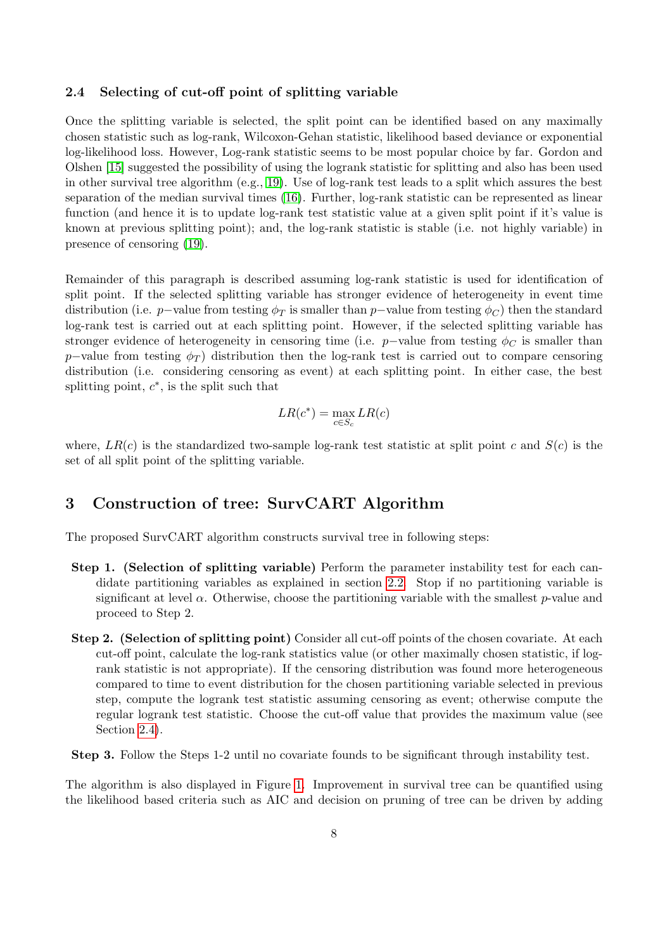### <span id="page-7-1"></span>2.4 Selecting of cut-off point of splitting variable

Once the splitting variable is selected, the split point can be identified based on any maximally chosen statistic such as log-rank, Wilcoxon-Gehan statistic, likelihood based deviance or exponential log-likelihood loss. However, Log-rank statistic seems to be most popular choice by far. Gordon and Olshen [\[15\]](#page-18-9) suggested the possibility of using the logrank statistic for splitting and also has been used in other survival tree algorithm (e.g., [19\)](#page-19-2). Use of log-rank test leads to a split which assures the best separation of the median survival times [\(16\)](#page-18-11). Further, log-rank statistic can be represented as linear function (and hence it is to update log-rank test statistic value at a given split point if it's value is known at previous splitting point); and, the log-rank statistic is stable (i.e. not highly variable) in presence of censoring [\(19\)](#page-19-2).

Remainder of this paragraph is described assuming log-rank statistic is used for identification of split point. If the selected splitting variable has stronger evidence of heterogeneity in event time distribution (i.e. p−value from testing  $\phi_T$  is smaller than p−value from testing  $\phi_C$ ) then the standard log-rank test is carried out at each splitting point. However, if the selected splitting variable has stronger evidence of heterogeneity in censoring time (i.e. p–value from testing  $\phi_C$  is smaller than p–value from testing  $\phi_T$ ) distribution then the log-rank test is carried out to compare censoring distribution (i.e. considering censoring as event) at each splitting point. In either case, the best splitting point,  $c^*$ , is the split such that

$$
LR(c^*) = \max_{c \in S_c} LR(c)
$$

where,  $LR(c)$  is the standardized two-sample log-rank test statistic at split point c and  $S(c)$  is the set of all split point of the splitting variable.

# <span id="page-7-0"></span>3 Construction of tree: SurvCART Algorithm

The proposed SurvCART algorithm constructs survival tree in following steps:

- Step 1. (Selection of splitting variable) Perform the parameter instability test for each candidate partitioning variables as explained in section [2.2.](#page-3-1) Stop if no partitioning variable is significant at level  $\alpha$ . Otherwise, choose the partitioning variable with the smallest p-value and proceed to Step 2.
- Step 2. (Selection of splitting point) Consider all cut-off points of the chosen covariate. At each cut-off point, calculate the log-rank statistics value (or other maximally chosen statistic, if logrank statistic is not appropriate). If the censoring distribution was found more heterogeneous compared to time to event distribution for the chosen partitioning variable selected in previous step, compute the logrank test statistic assuming censoring as event; otherwise compute the regular logrank test statistic. Choose the cut-off value that provides the maximum value (see Section [2.4\)](#page-7-1).
- Step 3. Follow the Steps 1-2 until no covariate founds to be significant through instability test.

The algorithm is also displayed in Figure [1.](#page-8-1) Improvement in survival tree can be quantified using the likelihood based criteria such as AIC and decision on pruning of tree can be driven by adding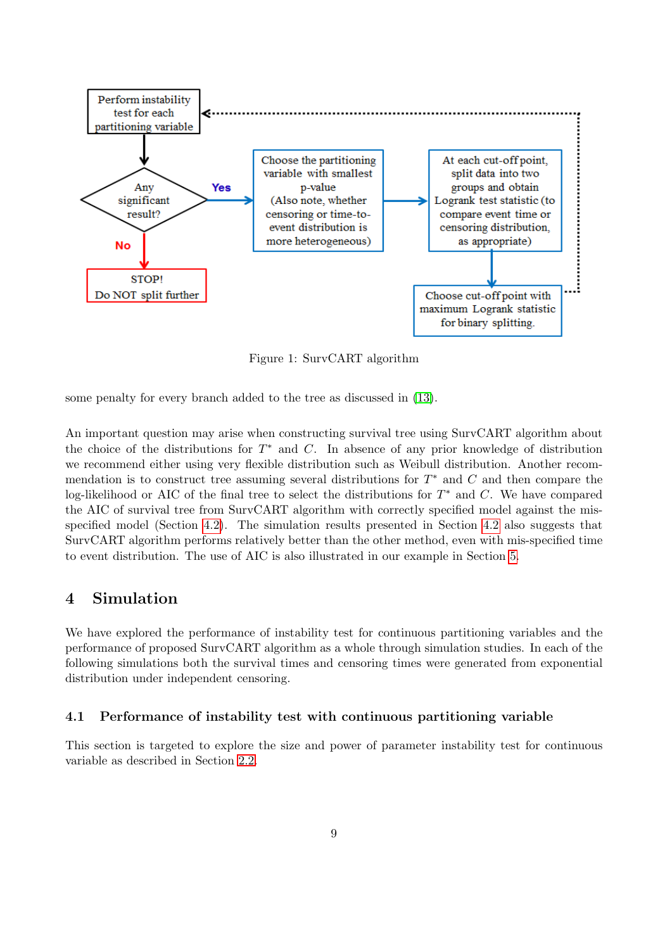<span id="page-8-1"></span>

Figure 1: SurvCART algorithm

some penalty for every branch added to the tree as discussed in [\(13\)](#page-18-7).

An important question may arise when constructing survival tree using SurvCART algorithm about the choice of the distributions for  $T^*$  and  $C$ . In absence of any prior knowledge of distribution we recommend either using very flexible distribution such as Weibull distribution. Another recommendation is to construct tree assuming several distributions for  $T^*$  and  $C$  and then compare the log-likelihood or AIC of the final tree to select the distributions for  $T^*$  and C. We have compared the AIC of survival tree from SurvCART algorithm with correctly specified model against the misspecified model (Section [4.2\)](#page-10-0). The simulation results presented in Section [4.2](#page-10-0) also suggests that SurvCART algorithm performs relatively better than the other method, even with mis-specified time to event distribution. The use of AIC is also illustrated in our example in Section [5.](#page-14-0)

# <span id="page-8-0"></span>4 Simulation

We have explored the performance of instability test for continuous partitioning variables and the performance of proposed SurvCART algorithm as a whole through simulation studies. In each of the following simulations both the survival times and censoring times were generated from exponential distribution under independent censoring.

### <span id="page-8-2"></span>4.1 Performance of instability test with continuous partitioning variable

This section is targeted to explore the size and power of parameter instability test for continuous variable as described in Section [2.2.](#page-3-1)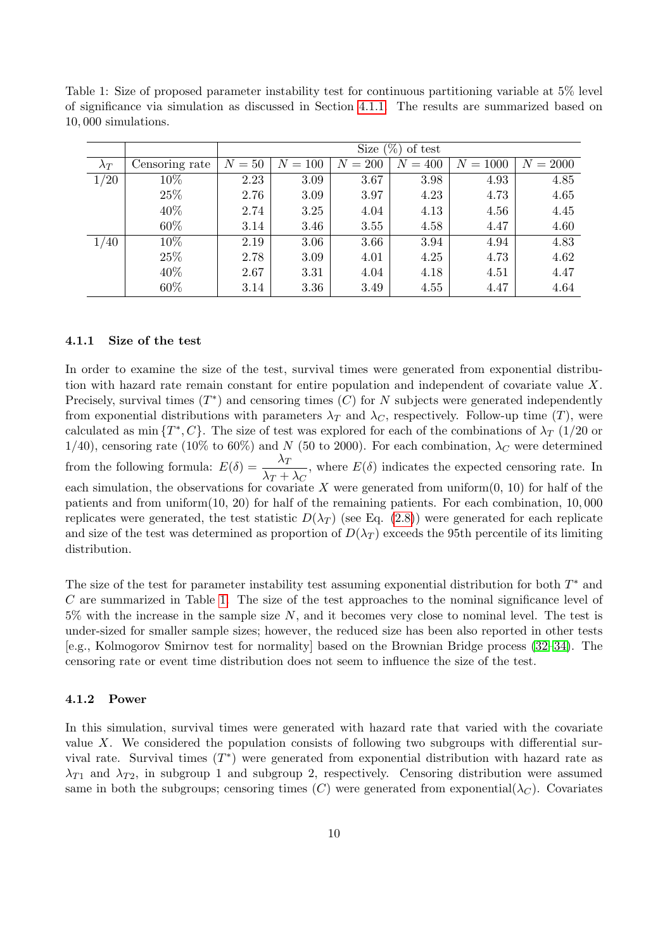<span id="page-9-1"></span>Table 1: Size of proposed parameter instability test for continuous partitioning variable at 5% level of significance via simulation as discussed in Section [4.1.1.](#page-9-0) The results are summarized based on 10, 000 simulations.

|             |                | $(\%)$<br>Size<br>of test |           |           |              |            |            |  |  |  |
|-------------|----------------|---------------------------|-----------|-----------|--------------|------------|------------|--|--|--|
| $\lambda_T$ | Censoring rate | $N=50$                    | $N = 100$ | $N = 200$ | $= 400$<br>N | $N = 1000$ | $N = 2000$ |  |  |  |
| 1/20        | 10%            | 2.23                      | 3.09      | 3.67      | 3.98         | 4.93       | 4.85       |  |  |  |
|             | 25%            | 2.76                      | 3.09      | 3.97      | 4.23         | 4.73       | 4.65       |  |  |  |
|             | 40\%           | 2.74                      | 3.25      | 4.04      | 4.13         | 4.56       | 4.45       |  |  |  |
|             | 60%            | 3.14                      | 3.46      | 3.55      | 4.58         | 4.47       | 4.60       |  |  |  |
| 1/40        | $10\%$         | 2.19                      | 3.06      | 3.66      | 3.94         | 4.94       | 4.83       |  |  |  |
|             | 25%            | 2.78                      | 3.09      | 4.01      | 4.25         | 4.73       | 4.62       |  |  |  |
|             | 40\%           | 2.67                      | 3.31      | 4.04      | 4.18         | 4.51       | 4.47       |  |  |  |
|             | 60%            | 3.14                      | 3.36      | 3.49      | 4.55         | 4.47       | 4.64       |  |  |  |

#### <span id="page-9-0"></span>4.1.1 Size of the test

In order to examine the size of the test, survival times were generated from exponential distribution with hazard rate remain constant for entire population and independent of covariate value X. Precisely, survival times  $(T^*)$  and censoring times  $(C)$  for N subjects were generated independently from exponential distributions with parameters  $\lambda_T$  and  $\lambda_C$ , respectively. Follow-up time (T), were calculated as min  $\{T^*, C\}$ . The size of test was explored for each of the combinations of  $\lambda_T$  (1/20 or 1/40), censoring rate (10% to 60%) and N (50 to 2000). For each combination,  $\lambda_C$  were determined from the following formula:  $E(\delta) = \frac{\lambda_T}{\lambda_T}$  $\frac{\lambda_1}{\lambda_1 + \lambda_2}$ , where  $E(\delta)$  indicates the expected censoring rate. In each simulation, the observations for covariate X were generated from uniform $(0, 10)$  for half of the patients and from uniform $(10, 20)$  for half of the remaining patients. For each combination,  $10,000$ replicates were generated, the test statistic  $D(\lambda_T)$  (see Eq. [\(2.8\)](#page-5-0)) were generated for each replicate and size of the test was determined as proportion of  $D(\lambda_T)$  exceeds the 95th percentile of its limiting distribution.

The size of the test for parameter instability test assuming exponential distribution for both  $T^*$  and  $C$  are summarized in Table [1.](#page-9-1) The size of the test approaches to the nominal significance level of  $5\%$  with the increase in the sample size N, and it becomes very close to nominal level. The test is under-sized for smaller sample sizes; however, the reduced size has been also reported in other tests [e.g., Kolmogorov Smirnov test for normality] based on the Brownian Bridge process [\(32–](#page-19-12)[34\)](#page-19-13). The censoring rate or event time distribution does not seem to influence the size of the test.

#### 4.1.2 Power

In this simulation, survival times were generated with hazard rate that varied with the covariate value X. We considered the population consists of following two subgroups with differential survival rate. Survival times  $(T^*)$  were generated from exponential distribution with hazard rate as  $\lambda_{T1}$  and  $\lambda_{T2}$ , in subgroup 1 and subgroup 2, respectively. Censoring distribution were assumed same in both the subgroups; censoring times  $(C)$  were generated from exponential $(\lambda_C)$ . Covariates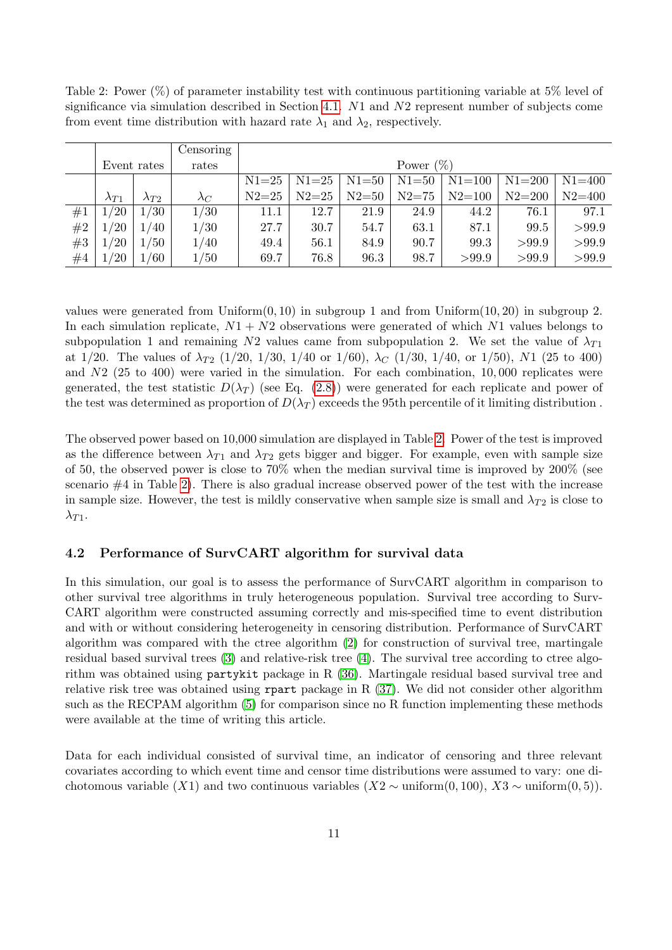|    |                |                | Censoring   |              |           |           |           |            |            |            |  |
|----|----------------|----------------|-------------|--------------|-----------|-----------|-----------|------------|------------|------------|--|
|    | Event rates    |                | rates       | Power $(\%)$ |           |           |           |            |            |            |  |
|    |                |                |             | $N1 = 25$    | $N1 = 25$ | $N1 = 50$ | $N1 = 50$ | $N1 = 100$ | $N1 = 200$ | $N1 = 400$ |  |
|    | $\lambda_{T1}$ | $\lambda_{T2}$ | $\lambda_C$ | $N2 = 25$    | $N2 = 25$ | $N2 = 50$ | $N2 = 75$ | $N2 = 100$ | $N2 = 200$ | $N2 = 400$ |  |
| #1 | 1/20           | 1/30           | 1/30        | 11.1         | 12.7      | 21.9      | 24.9      | 44.2       | 76.1       | 97.1       |  |
| #2 | 1/20           | 1/40           | 1/30        | 27.7         | 30.7      | 54.7      | 63.1      | 87.1       | 99.5       | >99.9      |  |
| #3 | 1/20           | 1/50           | 1/40        | 49.4         | 56.1      | 84.9      | 90.7      | 99.3       | >99.9      | >99.9      |  |
| #4 | 1/20           | 1/60           | 1/50        | 69.7         | 76.8      | 96.3      | 98.7      | >99.9      | >99.9      | >99.9      |  |

<span id="page-10-1"></span>Table 2: Power (%) of parameter instability test with continuous partitioning variable at 5% level of significance via simulation described in Section [4.1.](#page-8-2) N1 and N2 represent number of subjects come from event time distribution with hazard rate  $\lambda_1$  and  $\lambda_2$ , respectively.

values were generated from Uniform $(0, 10)$  in subgroup 1 and from Uniform $(10, 20)$  in subgroup 2. In each simulation replicate,  $N1 + N2$  observations were generated of which N1 values belongs to subpopulation 1 and remaining N2 values came from subpopulation 2. We set the value of  $\lambda_{T1}$ at 1/20. The values of  $\lambda_{T2}$  (1/20, 1/30, 1/40 or 1/60),  $\lambda_C$  (1/30, 1/40, or 1/50), N1 (25 to 400) and  $N2$  (25 to 400) were varied in the simulation. For each combination, 10,000 replicates were generated, the test statistic  $D(\lambda_T)$  (see Eq. [\(2.8\)](#page-5-0)) were generated for each replicate and power of the test was determined as proportion of  $D(\lambda_T)$  exceeds the 95th percentile of it limiting distribution.

The observed power based on 10,000 simulation are displayed in Table [2.](#page-10-1) Power of the test is improved as the difference between  $\lambda_{T1}$  and  $\lambda_{T2}$  gets bigger and bigger. For example, even with sample size of 50, the observed power is close to 70% when the median survival time is improved by 200% (see scenario #4 in Table [2\)](#page-10-1). There is also gradual increase observed power of the test with the increase in sample size. However, the test is mildly conservative when sample size is small and  $\lambda_{T2}$  is close to  $\lambda_{T1}$ .

### <span id="page-10-0"></span>4.2 Performance of SurvCART algorithm for survival data

In this simulation, our goal is to assess the performance of SurvCART algorithm in comparison to other survival tree algorithms in truly heterogeneous population. Survival tree according to Surv-CART algorithm were constructed assuming correctly and mis-specified time to event distribution and with or without considering heterogeneity in censoring distribution. Performance of SurvCART algorithm was compared with the ctree algorithm [\(2\)](#page-18-0) for construction of survival tree, martingale residual based survival trees [\(3\)](#page-18-12) and relative-risk tree [\(4\)](#page-18-10). The survival tree according to ctree algorithm was obtained using partykit package in R [\(36\)](#page-20-1). Martingale residual based survival tree and relative risk tree was obtained using rpart package in R [\(37\)](#page-20-2). We did not consider other algorithm such as the RECPAM algorithm [\(5\)](#page-18-2) for comparison since no R function implementing these methods were available at the time of writing this article.

Data for each individual consisted of survival time, an indicator of censoring and three relevant covariates according to which event time and censor time distributions were assumed to vary: one dichotomous variable  $(X1)$  and two continuous variables  $(X2 \sim \text{uniform}(0, 100), X3 \sim \text{uniform}(0, 5)).$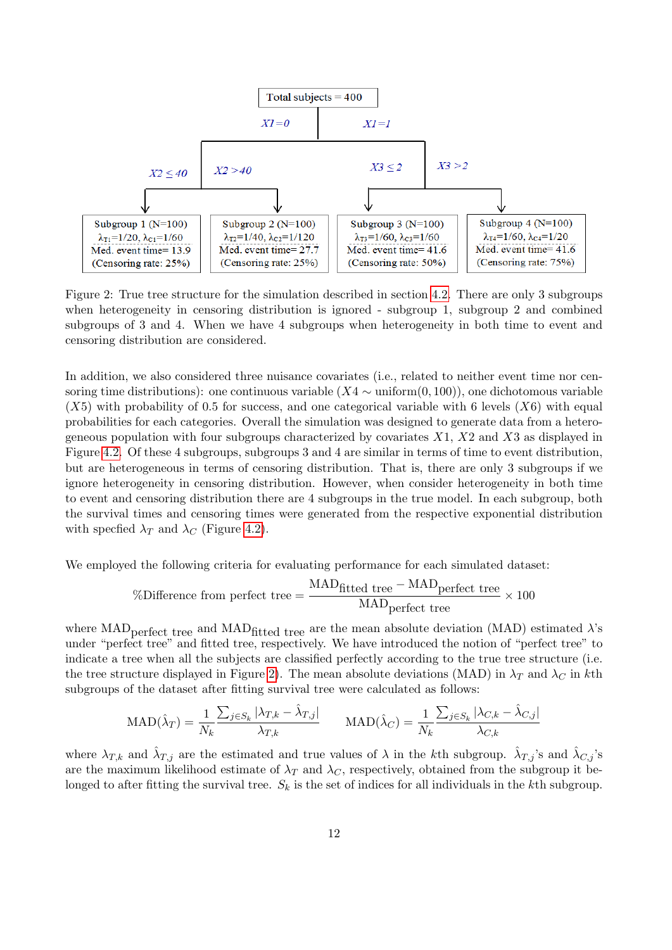<span id="page-11-0"></span>

Figure 2: True tree structure for the simulation described in section [4.2.](#page-10-0) There are only 3 subgroups when heterogeneity in censoring distribution is ignored - subgroup 1, subgroup 2 and combined subgroups of 3 and 4. When we have 4 subgroups when heterogeneity in both time to event and censoring distribution are considered.

In addition, we also considered three nuisance covariates (i.e., related to neither event time nor censoring time distributions): one continuous variable  $(X4 \sim \text{uniform}(0, 100))$ , one dichotomous variable  $(X5)$  with probability of 0.5 for success, and one categorical variable with 6 levels  $(X6)$  with equal probabilities for each categories. Overall the simulation was designed to generate data from a heterogeneous population with four subgroups characterized by covariates  $X1$ ,  $X2$  and  $X3$  as displayed in Figure [4.2.](#page-10-0) Of these 4 subgroups, subgroups 3 and 4 are similar in terms of time to event distribution, but are heterogeneous in terms of censoring distribution. That is, there are only 3 subgroups if we ignore heterogeneity in censoring distribution. However, when consider heterogeneity in both time to event and censoring distribution there are 4 subgroups in the true model. In each subgroup, both the survival times and censoring times were generated from the respective exponential distribution with specfied  $\lambda_T$  and  $\lambda_C$  (Figure [4.2\)](#page-10-0).

We employed the following criteria for evaluating performance for each simulated dataset:

$$
\%\text{Difference from perfect tree} = \frac{\text{MAD}_{\text{fitted tree}} - \text{MAD}_{\text{perfect tree}}}{\text{MAD}_{\text{perfect tree}}} \times 100
$$

where MAD<sub>perfect</sub> tree and MAD<sub>fitted</sub> tree are the mean absolute deviation (MAD) estimated  $\lambda$ 's under "perfect tree" and fitted tree, respectively. We have introduced the notion of "perfect tree" to indicate a tree when all the subjects are classified perfectly according to the true tree structure (i.e. the tree structure displayed in Figure [2\)](#page-11-0). The mean absolute deviations (MAD) in  $\lambda_T$  and  $\lambda_C$  in kth subgroups of the dataset after fitting survival tree were calculated as follows:

$$
\text{MAD}(\hat{\lambda}_T) = \frac{1}{N_k} \frac{\sum_{j \in S_k} |\lambda_{T,k} - \hat{\lambda}_{T,j}|}{\lambda_{T,k}} \qquad \text{MAD}(\hat{\lambda}_C) = \frac{1}{N_k} \frac{\sum_{j \in S_k} |\lambda_{C,k} - \hat{\lambda}_{C,j}|}{\lambda_{C,k}}
$$

where  $\lambda_{T,k}$  and  $\hat{\lambda}_{T,j}$  are the estimated and true values of  $\lambda$  in the kth subgroup.  $\hat{\lambda}_{T,j}$ 's and  $\hat{\lambda}_{C,j}$ 's are the maximum likelihood estimate of  $\lambda_T$  and  $\lambda_C$ , respectively, obtained from the subgroup it belonged to after fitting the survival tree.  $S_k$  is the set of indices for all individuals in the kth subgroup.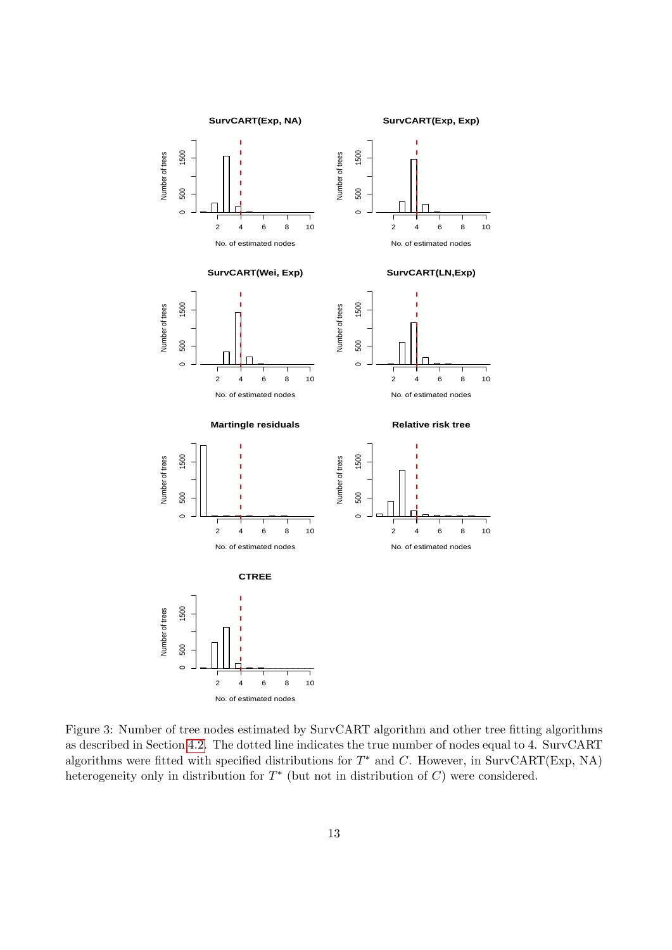<span id="page-12-0"></span>

Figure 3: Number of tree nodes estimated by SurvCART algorithm and other tree fitting algorithms as described in Section [4.2.](#page-10-0) The dotted line indicates the true number of nodes equal to 4. SurvCART algorithms were fitted with specified distributions for  $T^*$  and C. However, in SurvCART(Exp, NA) heterogeneity only in distribution for  $T^*$  (but not in distribution of  $C$ ) were considered.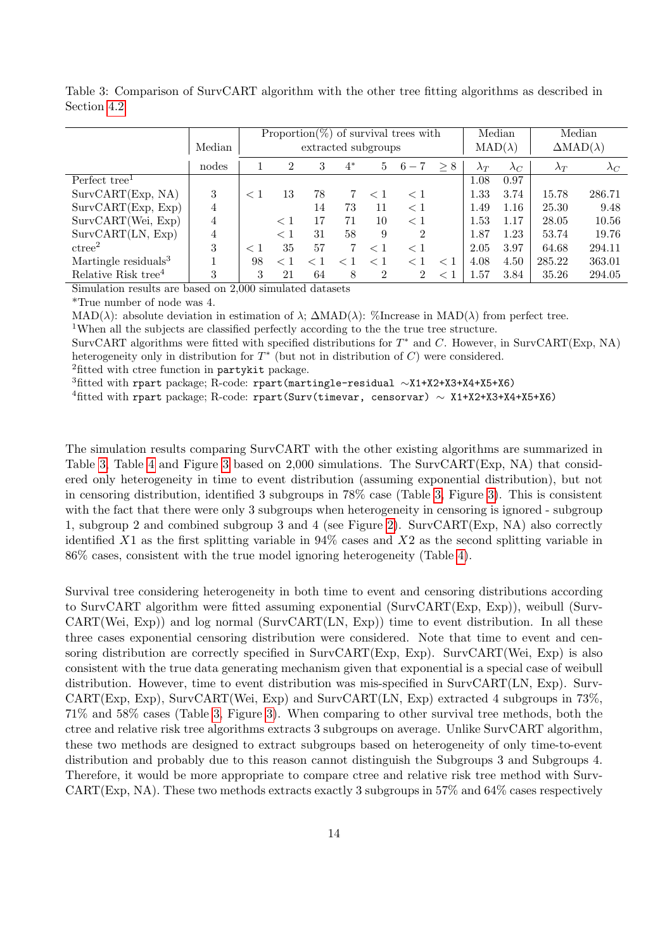|                                  | Median | Proportion(%) of survival trees with<br>extracted subgroups |          |    |       |          |                | Median<br>$\text{MAD}(\lambda)$ |             | Median<br>$\Delta \text{MAD}(\lambda)$ |             |             |
|----------------------------------|--------|-------------------------------------------------------------|----------|----|-------|----------|----------------|---------------------------------|-------------|----------------------------------------|-------------|-------------|
|                                  | nodes  |                                                             | 2        | 3  | $4^*$ | 5        | $6-7$          | > 8                             | $\lambda_T$ | $\lambda_C$                            | $\lambda_T$ | $\lambda_C$ |
| Perfect tree <sup>1</sup>        |        |                                                             |          |    |       |          |                |                                 | 1.08        | 0.97                                   |             |             |
| SurvCART(Exp, NA)                | 3      | $\langle \ \vert$                                           | 13       | 78 | 7     | $\leq 1$ | < 1            |                                 | 1.33        | 3.74                                   | 15.78       | 286.71      |
| SurvCART(Exp, Exp)               | 4      |                                                             |          | 14 | 73    | 11       | < 1            |                                 | 1.49        | 1.16                                   | 25.30       | 9.48        |
| SurvCART(Wei, Exp)               | 4      |                                                             | $\leq 1$ | 17 | 71    | 10       | < 1            |                                 | 1.53        | 1.17                                   | 28.05       | 10.56       |
| SurvCART(LN, Exp)                | 4      |                                                             | $\lt 1$  | 31 | 58    | 9        | $\mathcal{D}$  |                                 | 1.87        | 1.23                                   | 53.74       | 19.76       |
| ctree <sup>2</sup>               | 3      | $\langle \ \ \rangle$                                       | 35       | 57 | 7     | $<$ 1    | $<$ 1          |                                 | 2.05        | 3.97                                   | 64.68       | 294.11      |
| Martingle residuals <sup>3</sup> |        | 98                                                          | ✓        |    |       | $<\,1$   | $<$ 1          | < 1                             | 4.08        | 4.50                                   | 285.22      | 363.01      |
| Relative Risk tree <sup>4</sup>  | 3      | 3                                                           | 21       | 64 | 8     | 2        | $\overline{2}$ |                                 | 1.57        | 3.84                                   | 35.26       | 294.05      |

<span id="page-13-0"></span>Table 3: Comparison of SurvCART algorithm with the other tree fitting algorithms as described in Section [4.2](#page-10-0)

Simulation results are based on 2,000 simulated datasets

\*True number of node was 4.

MAD( $\lambda$ ): absolute deviation in estimation of  $\lambda$ ;  $\Delta \text{MAD}(\lambda)$ : %Increase in  $\text{MAD}(\lambda)$  from perfect tree.

<sup>1</sup>When all the subjects are classified perfectly according to the the true tree structure.

SurvCART algorithms were fitted with specified distributions for  $T^*$  and C. However, in SurvCART(Exp, NA) heterogeneity only in distribution for  $T^*$  (but not in distribution of  $C$ ) were considered.

<sup>2</sup>fitted with ctree function in partykit package.

<sup>3</sup>fitted with rpart package; R-code: rpart(martingle-residual ∼X1+X2+X3+X4+X5+X6)

<sup>4</sup>fitted with rpart package; R-code: rpart(Surv(timevar, censorvar) ∼ X1+X2+X3+X4+X5+X6)

The simulation results comparing SurvCART with the other existing algorithms are summarized in Table [3,](#page-13-0) Table [4](#page-14-1) and Figure [3](#page-12-0) based on 2,000 simulations. The SurvCART(Exp, NA) that considered only heterogeneity in time to event distribution (assuming exponential distribution), but not in censoring distribution, identified 3 subgroups in 78% case (Table [3,](#page-13-0) Figure [3\)](#page-12-0). This is consistent with the fact that there were only 3 subgroups when heterogeneity in censoring is ignored - subgroup 1, subgroup 2 and combined subgroup 3 and 4 (see Figure [2\)](#page-11-0). SurvCART(Exp, NA) also correctly identified X1 as the first splitting variable in  $94\%$  cases and X2 as the second splitting variable in 86% cases, consistent with the true model ignoring heterogeneity (Table [4\)](#page-14-1).

Survival tree considering heterogeneity in both time to event and censoring distributions according to SurvCART algorithm were fitted assuming exponential (SurvCART(Exp, Exp)), weibull (Surv-CART(Wei, Exp)) and log normal (SurvCART(LN, Exp)) time to event distribution. In all these three cases exponential censoring distribution were considered. Note that time to event and censoring distribution are correctly specified in SurvCART(Exp, Exp). SurvCART(Wei, Exp) is also consistent with the true data generating mechanism given that exponential is a special case of weibull distribution. However, time to event distribution was mis-specified in SurvCART(LN, Exp). Surv-CART(Exp, Exp), SurvCART(Wei, Exp) and SurvCART(LN, Exp) extracted 4 subgroups in 73%, 71% and 58% cases (Table [3,](#page-13-0) Figure [3\)](#page-12-0). When comparing to other survival tree methods, both the ctree and relative risk tree algorithms extracts 3 subgroups on average. Unlike SurvCART algorithm, these two methods are designed to extract subgroups based on heterogeneity of only time-to-event distribution and probably due to this reason cannot distinguish the Subgroups 3 and Subgroups 4. Therefore, it would be more appropriate to compare ctree and relative risk tree method with Surv- $CART(Exp, NA)$ . These two methods extracts exactly 3 subgroups in 57% and 64% cases respectively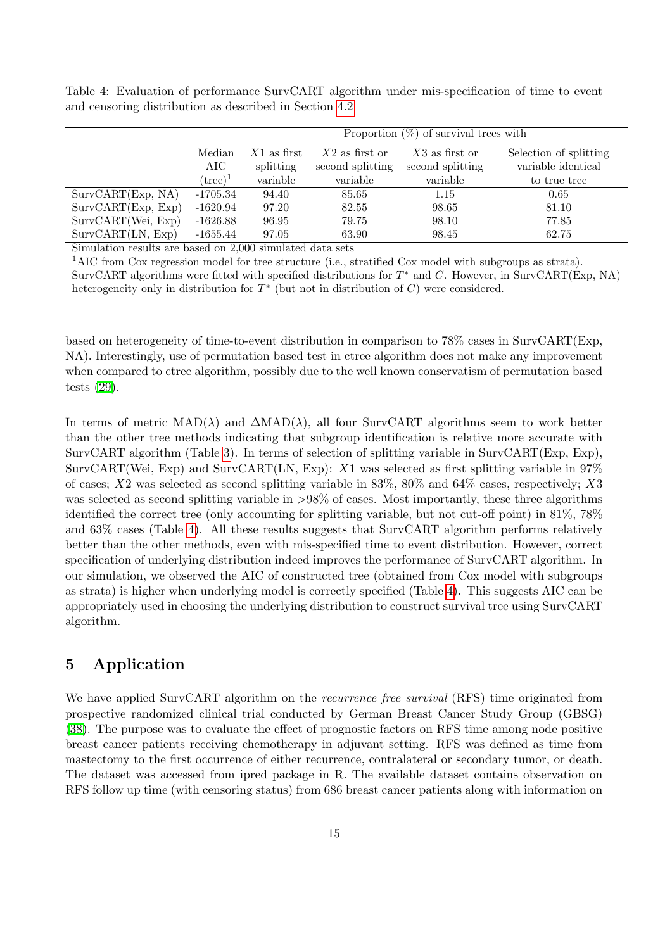<span id="page-14-1"></span>Table 4: Evaluation of performance SurvCART algorithm under mis-specification of time to event and censoring distribution as described in Section [4.2](#page-10-0)

|                    |                   | Proportion $(\%)$ of survival trees with |                                      |                                      |                                              |  |  |  |  |  |  |
|--------------------|-------------------|------------------------------------------|--------------------------------------|--------------------------------------|----------------------------------------------|--|--|--|--|--|--|
|                    | Median<br>AIC     | $X1$ as first<br>splitting               | $X2$ as first or<br>second splitting | $X3$ as first or<br>second splitting | Selection of splitting<br>variable identical |  |  |  |  |  |  |
|                    | $(\text{tree})^1$ | variable                                 | variable                             | variable                             | to true tree                                 |  |  |  |  |  |  |
| SurvCART(Exp, NA)  | $-1705.34$        | 94.40                                    | 85.65                                | 1.15                                 | 0.65                                         |  |  |  |  |  |  |
| SurvCART(Exp, Exp) | $-1620.94$        | 97.20                                    | 82.55                                | 98.65                                | 81.10                                        |  |  |  |  |  |  |
| SurvCART(Wei, Exp) | $-1626.88$        | 96.95                                    | 79.75                                | 98.10                                | 77.85                                        |  |  |  |  |  |  |
| SurvCART(LN, Exp)  | $-1655.44$        | 97.05                                    | 63.90                                | 98.45                                | 62.75                                        |  |  |  |  |  |  |

Simulation results are based on 2,000 simulated data sets

<sup>1</sup>AIC from Cox regression model for tree structure (i.e., stratified Cox model with subgroups as strata). SurvCART algorithms were fitted with specified distributions for  $T^*$  and C. However, in SurvCART(Exp, NA) heterogeneity only in distribution for  $T^*$  (but not in distribution of  $C$ ) were considered.

based on heterogeneity of time-to-event distribution in comparison to 78% cases in SurvCART(Exp, NA). Interestingly, use of permutation based test in ctree algorithm does not make any improvement when compared to ctree algorithm, possibly due to the well known conservatism of permutation based tests [\(29\)](#page-19-9).

In terms of metric  $MAD(\lambda)$  and  $\Delta MAD(\lambda)$ , all four SurvCART algorithms seem to work better than the other tree methods indicating that subgroup identification is relative more accurate with SurvCART algorithm (Table [3\)](#page-13-0). In terms of selection of splitting variable in SurvCART(Exp, Exp), SurvCART(Wei, Exp) and SurvCART(LN, Exp):  $X1$  was selected as first splitting variable in 97% of cases;  $X2$  was selected as second splitting variable in 83%, 80% and 64% cases, respectively;  $X3$ was selected as second splitting variable in  $>98\%$  of cases. Most importantly, these three algorithms identified the correct tree (only accounting for splitting variable, but not cut-off point) in 81%, 78% and 63% cases (Table [4\)](#page-14-1). All these results suggests that SurvCART algorithm performs relatively better than the other methods, even with mis-specified time to event distribution. However, correct specification of underlying distribution indeed improves the performance of SurvCART algorithm. In our simulation, we observed the AIC of constructed tree (obtained from Cox model with subgroups as strata) is higher when underlying model is correctly specified (Table [4\)](#page-14-1). This suggests AIC can be appropriately used in choosing the underlying distribution to construct survival tree using SurvCART algorithm.

# <span id="page-14-0"></span>5 Application

We have applied SurvCART algorithm on the *recurrence free survival* (RFS) time originated from prospective randomized clinical trial conducted by German Breast Cancer Study Group (GBSG) [\(38\)](#page-20-3). The purpose was to evaluate the effect of prognostic factors on RFS time among node positive breast cancer patients receiving chemotherapy in adjuvant setting. RFS was defined as time from mastectomy to the first occurrence of either recurrence, contralateral or secondary tumor, or death. The dataset was accessed from ipred package in R. The available dataset contains observation on RFS follow up time (with censoring status) from 686 breast cancer patients along with information on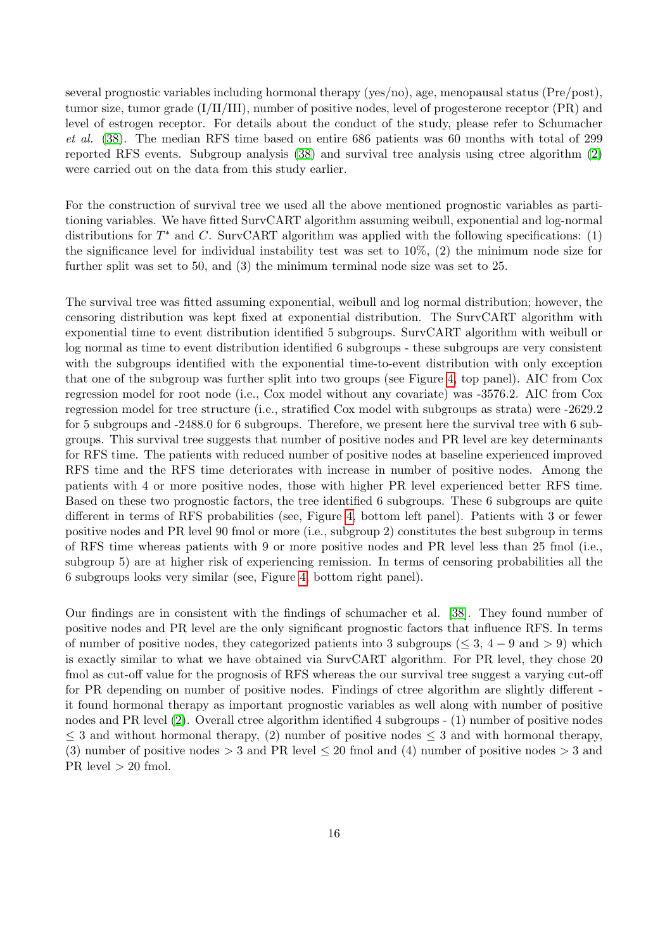several prognostic variables including hormonal therapy (yes/no), age, menopausal status (Pre/post), tumor size, tumor grade (I/II/III), number of positive nodes, level of progesterone receptor (PR) and level of estrogen receptor. For details about the conduct of the study, please refer to Schumacher et al. [\(38\)](#page-20-3). The median RFS time based on entire 686 patients was 60 months with total of 299 reported RFS events. Subgroup analysis [\(38\)](#page-20-3) and survival tree analysis using ctree algorithm [\(2\)](#page-18-0) were carried out on the data from this study earlier.

For the construction of survival tree we used all the above mentioned prognostic variables as partitioning variables. We have fitted SurvCART algorithm assuming weibull, exponential and log-normal distributions for  $T^*$  and C. SurvCART algorithm was applied with the following specifications: (1) the significance level for individual instability test was set to  $10\%$ ,  $(2)$  the minimum node size for further split was set to 50, and (3) the minimum terminal node size was set to 25.

The survival tree was fitted assuming exponential, weibull and log normal distribution; however, the censoring distribution was kept fixed at exponential distribution. The SurvCART algorithm with exponential time to event distribution identified 5 subgroups. SurvCART algorithm with weibull or log normal as time to event distribution identified 6 subgroups - these subgroups are very consistent with the subgroups identified with the exponential time-to-event distribution with only exception that one of the subgroup was further split into two groups (see Figure [4,](#page-16-0) top panel). AIC from Cox regression model for root node (i.e., Cox model without any covariate) was -3576.2. AIC from Cox regression model for tree structure (i.e., stratified Cox model with subgroups as strata) were -2629.2 for 5 subgroups and -2488.0 for 6 subgroups. Therefore, we present here the survival tree with 6 subgroups. This survival tree suggests that number of positive nodes and PR level are key determinants for RFS time. The patients with reduced number of positive nodes at baseline experienced improved RFS time and the RFS time deteriorates with increase in number of positive nodes. Among the patients with 4 or more positive nodes, those with higher PR level experienced better RFS time. Based on these two prognostic factors, the tree identified 6 subgroups. These 6 subgroups are quite different in terms of RFS probabilities (see, Figure [4,](#page-16-0) bottom left panel). Patients with 3 or fewer positive nodes and PR level 90 fmol or more (i.e., subgroup 2) constitutes the best subgroup in terms of RFS time whereas patients with 9 or more positive nodes and PR level less than 25 fmol (i.e., subgroup 5) are at higher risk of experiencing remission. In terms of censoring probabilities all the 6 subgroups looks very similar (see, Figure [4,](#page-16-0) bottom right panel).

Our findings are in consistent with the findings of schumacher et al. [\[38\]](#page-20-3). They found number of positive nodes and PR level are the only significant prognostic factors that influence RFS. In terms of number of positive nodes, they categorized patients into 3 subgroups ( $\leq 3$ , 4 – 9 and  $> 9$ ) which is exactly similar to what we have obtained via SurvCART algorithm. For PR level, they chose 20 fmol as cut-off value for the prognosis of RFS whereas the our survival tree suggest a varying cut-off for PR depending on number of positive nodes. Findings of ctree algorithm are slightly different it found hormonal therapy as important prognostic variables as well along with number of positive nodes and PR level [\(2\)](#page-18-0). Overall ctree algorithm identified 4 subgroups - (1) number of positive nodes  $\leq$  3 and without hormonal therapy, (2) number of positive nodes  $\leq$  3 and with hormonal therapy, (3) number of positive nodes  $> 3$  and PR level  $\leq 20$  fmol and (4) number of positive nodes  $> 3$  and PR level  $> 20$  fmol.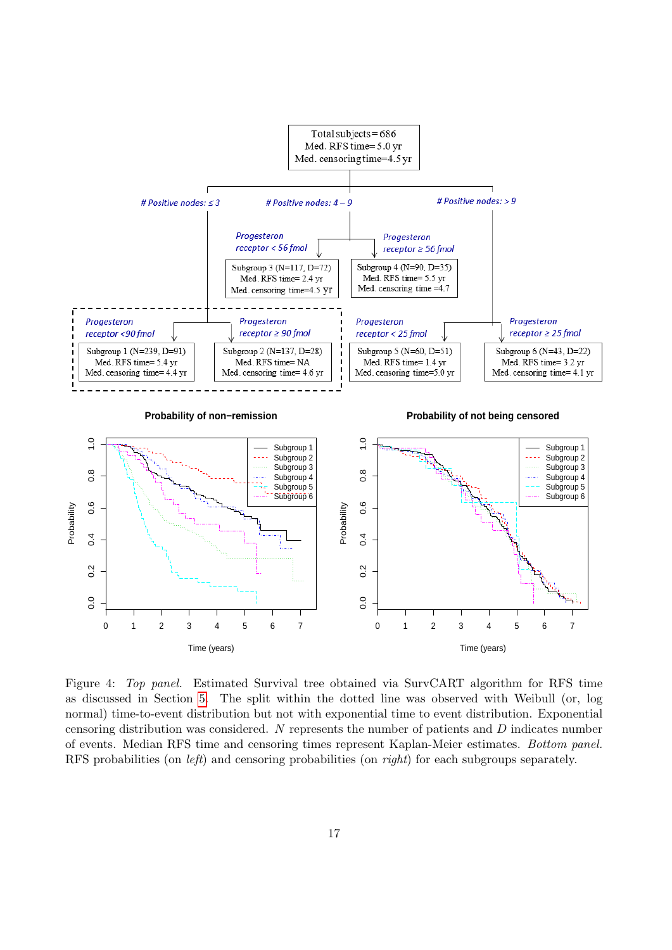<span id="page-16-0"></span>

Figure 4: Top panel. Estimated Survival tree obtained via SurvCART algorithm for RFS time as discussed in Section [5.](#page-14-0) The split within the dotted line was observed with Weibull (or, log normal) time-to-event distribution but not with exponential time to event distribution. Exponential censoring distribution was considered. N represents the number of patients and D indicates number of events. Median RFS time and censoring times represent Kaplan-Meier estimates. Bottom panel. RFS probabilities (on *left*) and censoring probabilities (on *right*) for each subgroups separately.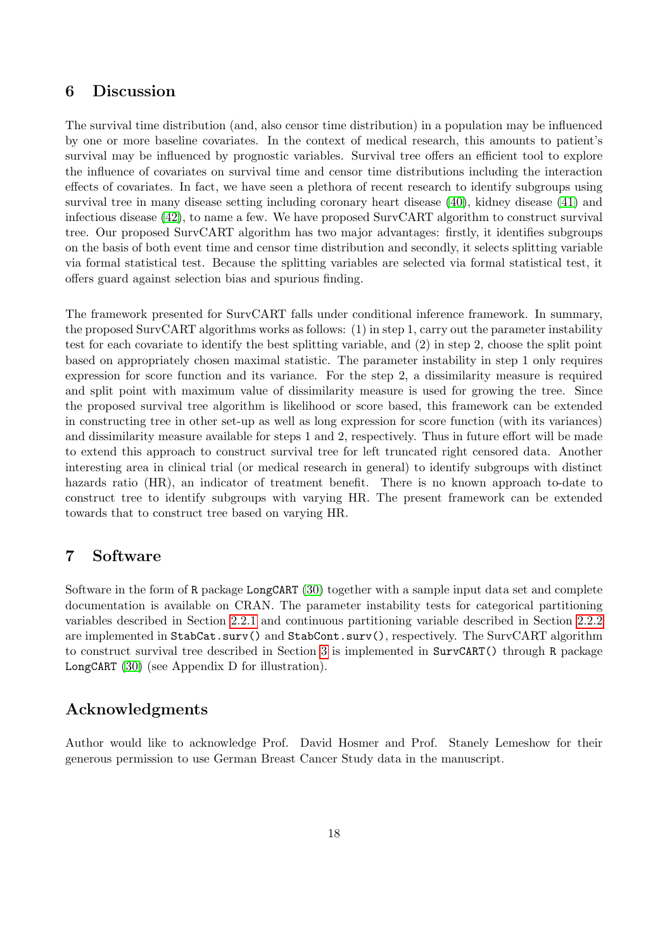# <span id="page-17-0"></span>6 Discussion

The survival time distribution (and, also censor time distribution) in a population may be influenced by one or more baseline covariates. In the context of medical research, this amounts to patient's survival may be influenced by prognostic variables. Survival tree offers an efficient tool to explore the influence of covariates on survival time and censor time distributions including the interaction effects of covariates. In fact, we have seen a plethora of recent research to identify subgroups using survival tree in many disease setting including coronary heart disease [\(40\)](#page-20-4), kidney disease [\(41\)](#page-20-5) and infectious disease [\(42\)](#page-20-6), to name a few. We have proposed SurvCART algorithm to construct survival tree. Our proposed SurvCART algorithm has two major advantages: firstly, it identifies subgroups on the basis of both event time and censor time distribution and secondly, it selects splitting variable via formal statistical test. Because the splitting variables are selected via formal statistical test, it offers guard against selection bias and spurious finding.

The framework presented for SurvCART falls under conditional inference framework. In summary, the proposed SurvCART algorithms works as follows: (1) in step 1, carry out the parameter instability test for each covariate to identify the best splitting variable, and (2) in step 2, choose the split point based on appropriately chosen maximal statistic. The parameter instability in step 1 only requires expression for score function and its variance. For the step 2, a dissimilarity measure is required and split point with maximum value of dissimilarity measure is used for growing the tree. Since the proposed survival tree algorithm is likelihood or score based, this framework can be extended in constructing tree in other set-up as well as long expression for score function (with its variances) and dissimilarity measure available for steps 1 and 2, respectively. Thus in future effort will be made to extend this approach to construct survival tree for left truncated right censored data. Another interesting area in clinical trial (or medical research in general) to identify subgroups with distinct hazards ratio (HR), an indicator of treatment benefit. There is no known approach to-date to construct tree to identify subgroups with varying HR. The present framework can be extended towards that to construct tree based on varying HR.

# 7 Software

Software in the form of R package LongCART [\(30\)](#page-19-10) together with a sample input data set and complete documentation is available on CRAN. The parameter instability tests for categorical partitioning variables described in Section [2.2.1](#page-4-0) and continuous partitioning variable described in Section [2.2.2](#page-4-1) are implemented in StabCat.surv() and StabCont.surv(), respectively. The SurvCART algorithm to construct survival tree described in Section [3](#page-7-0) is implemented in SurvCART() through R package LongCART [\(30\)](#page-19-10) (see Appendix D for illustration).

# Acknowledgments

Author would like to acknowledge Prof. David Hosmer and Prof. Stanely Lemeshow for their generous permission to use German Breast Cancer Study data in the manuscript.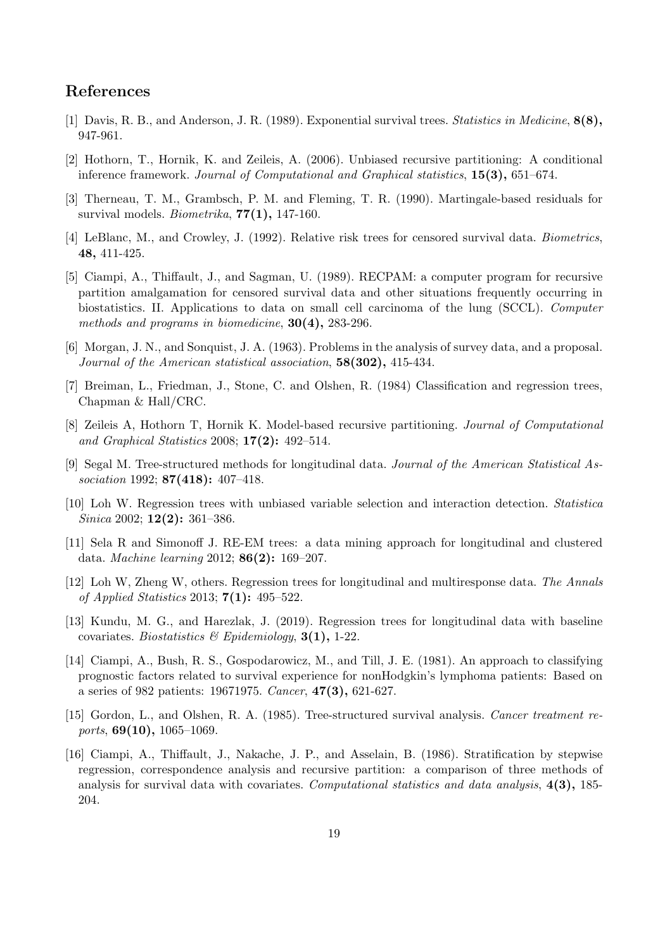# References

- <span id="page-18-1"></span>[1] Davis, R. B., and Anderson, J. R. (1989). Exponential survival trees. Statistics in Medicine, 8(8), 947-961.
- <span id="page-18-0"></span>[2] Hothorn, T., Hornik, K. and Zeileis, A. (2006). Unbiased recursive partitioning: A conditional inference framework. Journal of Computational and Graphical statistics, 15(3), 651–674.
- <span id="page-18-12"></span>[3] Therneau, T. M., Grambsch, P. M. and Fleming, T. R. (1990). Martingale-based residuals for survival models. Biometrika,  $77(1)$ , 147-160.
- <span id="page-18-10"></span>[4] LeBlanc, M., and Crowley, J. (1992). Relative risk trees for censored survival data. Biometrics, 48, 411-425.
- <span id="page-18-2"></span>[5] Ciampi, A., Thiffault, J., and Sagman, U. (1989). RECPAM: a computer program for recursive partition amalgamation for censored survival data and other situations frequently occurring in biostatistics. II. Applications to data on small cell carcinoma of the lung (SCCL). Computer methods and programs in biomedicine, 30(4), 283-296.
- <span id="page-18-3"></span>[6] Morgan, J. N., and Sonquist, J. A. (1963). Problems in the analysis of survey data, and a proposal. Journal of the American statistical association, 58(302), 415-434.
- <span id="page-18-4"></span>[7] Breiman, L., Friedman, J., Stone, C. and Olshen, R. (1984) Classification and regression trees, Chapman & Hall/CRC.
- <span id="page-18-5"></span>[8] Zeileis A, Hothorn T, Hornik K. Model-based recursive partitioning. Journal of Computational and Graphical Statistics 2008; 17(2): 492–514.
- <span id="page-18-6"></span>[9] Segal M. Tree-structured methods for longitudinal data. Journal of the American Statistical Association 1992; **87(418)**: 407-418.
- <span id="page-18-13"></span>[10] Loh W. Regression trees with unbiased variable selection and interaction detection. Statistica Sinica 2002; **12(2):** 361-386.
- [11] Sela R and Simonoff J. RE-EM trees: a data mining approach for longitudinal and clustered data. Machine learning 2012; 86(2): 169–207.
- <span id="page-18-14"></span>[12] Loh W, Zheng W, others. Regression trees for longitudinal and multiresponse data. The Annals of Applied Statistics 2013;  $7(1)$ : 495–522.
- <span id="page-18-7"></span>[13] Kundu, M. G., and Harezlak, J. (2019). Regression trees for longitudinal data with baseline covariates. Biostatistics & Epidemiology, 3(1), 1-22.
- <span id="page-18-8"></span>[14] Ciampi, A., Bush, R. S., Gospodarowicz, M., and Till, J. E. (1981). An approach to classifying prognostic factors related to survival experience for nonHodgkin's lymphoma patients: Based on a series of 982 patients: 19671975. Cancer, 47(3), 621-627.
- <span id="page-18-9"></span>[15] Gordon, L., and Olshen, R. A. (1985). Tree-structured survival analysis. Cancer treatment reports,  $69(10)$ ,  $1065-1069$ .
- <span id="page-18-11"></span>[16] Ciampi, A., Thiffault, J., Nakache, J. P., and Asselain, B. (1986). Stratification by stepwise regression, correspondence analysis and recursive partition: a comparison of three methods of analysis for survival data with covariates. Computational statistics and data analysis, 4(3), 185-204.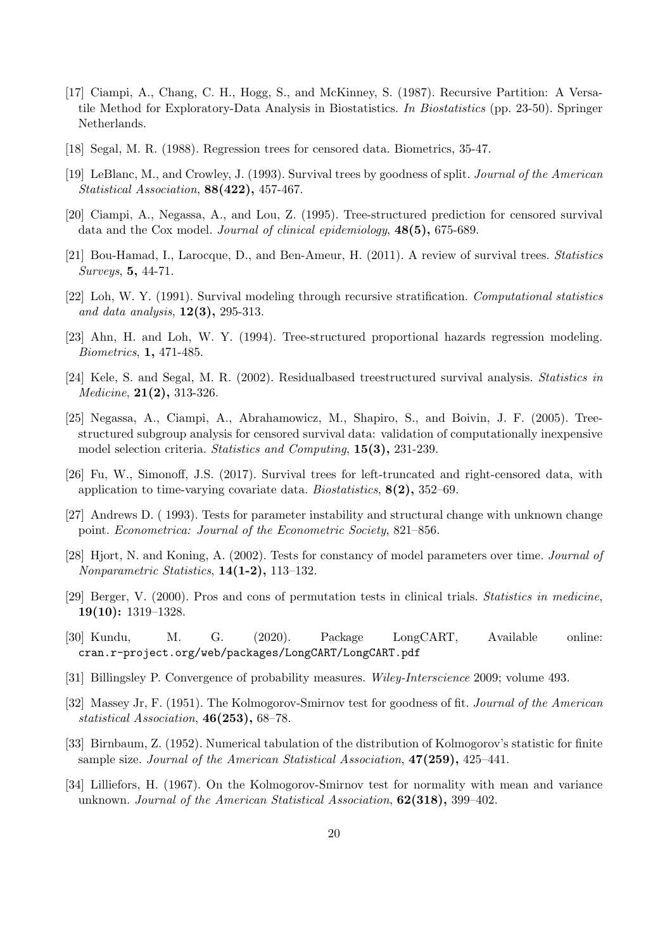- <span id="page-19-3"></span>[17] Ciampi, A., Chang, C. H., Hogg, S., and McKinney, S. (1987). Recursive Partition: A Versatile Method for Exploratory-Data Analysis in Biostatistics. In Biostatistics (pp. 23-50). Springer Netherlands.
- <span id="page-19-4"></span>[18] Segal, M. R. (1988). Regression trees for censored data. Biometrics, 35-47.
- <span id="page-19-2"></span>[19] LeBlanc, M., and Crowley, J. (1993). Survival trees by goodness of split. Journal of the American Statistical Association, 88(422), 457-467.
- <span id="page-19-0"></span>[20] Ciampi, A., Negassa, A., and Lou, Z. (1995). Tree-structured prediction for censored survival data and the Cox model. Journal of clinical epidemiology, 48(5), 675-689.
- <span id="page-19-1"></span>[21] Bou-Hamad, I., Larocque, D., and Ben-Ameur, H. (2011). A review of survival trees. Statistics Surveys, 5, 44-71.
- [22] Loh, W. Y. (1991). Survival modeling through recursive stratification. Computational statistics and data analysis,  $12(3)$ , 295-313.
- [23] Ahn, H. and Loh, W. Y. (1994). Tree-structured proportional hazards regression modeling. Biometrics, 1, 471-485.
- [24] Kele, S. and Segal, M. R. (2002). Residualbased treestructured survival analysis. Statistics in Medicine, 21(2), 313-326.
- <span id="page-19-5"></span>[25] Negassa, A., Ciampi, A., Abrahamowicz, M., Shapiro, S., and Boivin, J. F. (2005). Treestructured subgroup analysis for censored survival data: validation of computationally inexpensive model selection criteria. Statistics and Computing, 15(3), 231-239.
- <span id="page-19-6"></span>[26] Fu, W., Simonoff, J.S. (2017). Survival trees for left-truncated and right-censored data, with application to time-varying covariate data. Biostatistics,  $8(2)$ ,  $352-69$ .
- <span id="page-19-7"></span>[27] Andrews D. ( 1993). Tests for parameter instability and structural change with unknown change point. Econometrica: Journal of the Econometric Society, 821–856.
- <span id="page-19-8"></span>[28] Hjort, N. and Koning, A. (2002). Tests for constancy of model parameters over time. Journal of Nonparametric Statistics, 14(1-2), 113–132.
- <span id="page-19-9"></span>[29] Berger, V. (2000). Pros and cons of permutation tests in clinical trials. Statistics in medicine, 19(10): 1319–1328.
- <span id="page-19-10"></span>[30] Kundu, M. G. (2020). Package LongCART, Available online: cran.r-project.org/web/packages/LongCART/LongCART.pdf
- <span id="page-19-11"></span>[31] Billingsley P. Convergence of probability measures. Wiley-Interscience 2009; volume 493.
- <span id="page-19-12"></span>[32] Massey Jr, F. (1951). The Kolmogorov-Smirnov test for goodness of fit. Journal of the American statistical Association, 46(253), 68–78.
- [33] Birnbaum, Z. (1952). Numerical tabulation of the distribution of Kolmogorov's statistic for finite sample size. Journal of the American Statistical Association,  $47(259)$ ,  $425-441$ .
- <span id="page-19-13"></span>[34] Lilliefors, H. (1967). On the Kolmogorov-Smirnov test for normality with mean and variance unknown. Journal of the American Statistical Association, **62(318)**, 399–402.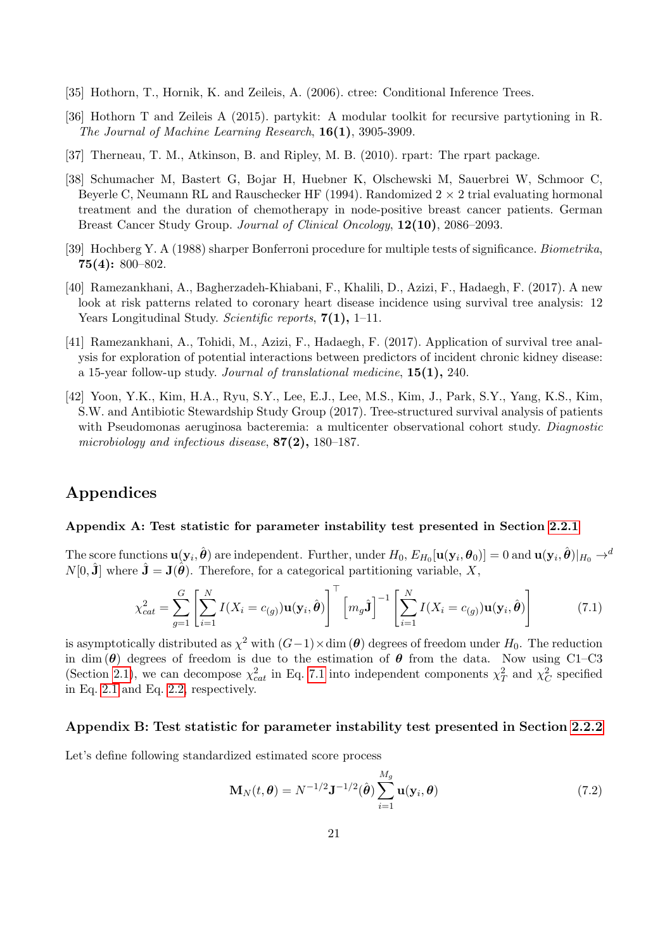- [35] Hothorn, T., Hornik, K. and Zeileis, A. (2006). ctree: Conditional Inference Trees.
- <span id="page-20-1"></span>[36] Hothorn T and Zeileis A (2015). partykit: A modular toolkit for recursive partytioning in R. The Journal of Machine Learning Research, 16(1), 3905-3909.
- <span id="page-20-2"></span>[37] Therneau, T. M., Atkinson, B. and Ripley, M. B. (2010). rpart: The rpart package.
- <span id="page-20-3"></span>[38] Schumacher M, Bastert G, Bojar H, Huebner K, Olschewski M, Sauerbrei W, Schmoor C, Beyerle C, Neumann RL and Rauschecker HF (1994). Randomized  $2 \times 2$  trial evaluating hormonal treatment and the duration of chemotherapy in node-positive breast cancer patients. German Breast Cancer Study Group. Journal of Clinical Oncology, 12(10), 2086–2093.
- <span id="page-20-0"></span>[39] Hochberg Y. A (1988) sharper Bonferroni procedure for multiple tests of significance. Biometrika, 75(4): 800–802.
- <span id="page-20-4"></span>[40] Ramezankhani, A., Bagherzadeh-Khiabani, F., Khalili, D., Azizi, F., Hadaegh, F. (2017). A new look at risk patterns related to coronary heart disease incidence using survival tree analysis: 12 Years Longitudinal Study. Scientific reports,  $7(1)$ , 1–11.
- <span id="page-20-5"></span>[41] Ramezankhani, A., Tohidi, M., Azizi, F., Hadaegh, F. (2017). Application of survival tree analysis for exploration of potential interactions between predictors of incident chronic kidney disease: a 15-year follow-up study. Journal of translational medicine, 15(1), 240.
- <span id="page-20-6"></span>[42] Yoon, Y.K., Kim, H.A., Ryu, S.Y., Lee, E.J., Lee, M.S., Kim, J., Park, S.Y., Yang, K.S., Kim, S.W. and Antibiotic Stewardship Study Group (2017). Tree-structured survival analysis of patients with Pseudomonas aeruginosa bacteremia: a multicenter observational cohort study. *Diagnostic* microbiology and infectious disease, 87(2), 180–187.

# Appendices

### Appendix A: Test statistic for parameter instability test presented in Section [2.2.1](#page-4-0)

The score functions  $\mathbf{u}(\mathbf{y}_i, \hat{\boldsymbol{\theta}})$  are independent. Further, under  $H_0$ ,  $E_{H_0}[\mathbf{u}(\mathbf{y}_i, \boldsymbol{\theta}_0)]=0$  and  $\mathbf{u}(\mathbf{y}_i, \hat{\boldsymbol{\theta}})|_{H_0} \rightarrow$  $N[0, \hat{\mathbf{J}}]$  where  $\hat{\mathbf{J}} = \mathbf{J}(\hat{\boldsymbol{\theta}})$ . Therefore, for a categorical partitioning variable, X,

<span id="page-20-7"></span>
$$
\chi_{cat}^2 = \sum_{g=1}^G \left[ \sum_{i=1}^N I(X_i = c_{(g)}) \mathbf{u}(\mathbf{y}_i, \hat{\boldsymbol{\theta}}) \right]^\top \left[ m_g \hat{\mathbf{J}} \right]^{-1} \left[ \sum_{i=1}^N I(X_i = c_{(g)}) \mathbf{u}(\mathbf{y}_i, \hat{\boldsymbol{\theta}}) \right]
$$
(7.1)

is asymptotically distributed as  $\chi^2$  with  $(G-1) \times \dim (\boldsymbol{\theta})$  degrees of freedom under  $H_0$ . The reduction in dim ( $\theta$ ) degrees of freedom is due to the estimation of  $\theta$  from the data. Now using C1–C3 (Section [2.1\)](#page-3-0), we can decompose  $\chi^2_{cat}$  in Eq. [7.1](#page-20-7) into independent components  $\chi^2_T$  and  $\chi^2_C$  specified in Eq. [2.1](#page-4-2) and Eq. [2.2,](#page-4-3) respectively.

#### Appendix B: Test statistic for parameter instability test presented in Section [2.2.2](#page-4-1)

Let's define following standardized estimated score process

$$
\mathbf{M}_{N}(t,\boldsymbol{\theta}) = N^{-1/2} \mathbf{J}^{-1/2}(\hat{\boldsymbol{\theta}}) \sum_{i=1}^{M_g} \mathbf{u}(\mathbf{y}_i, \boldsymbol{\theta})
$$
(7.2)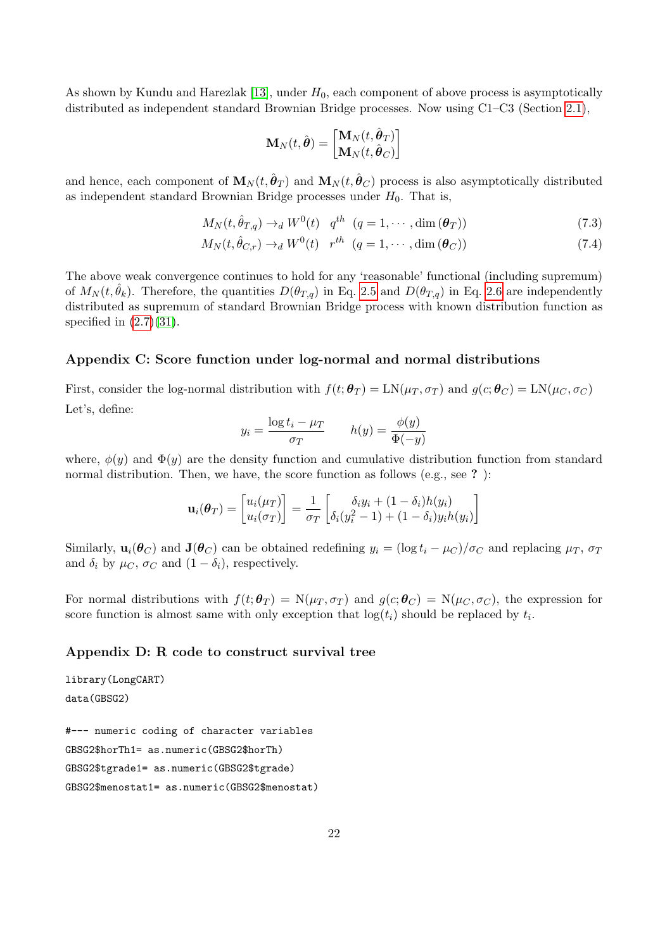As shown by Kundu and Harezlak [\[13\]](#page-18-7), under  $H_0$ , each component of above process is asymptotically distributed as independent standard Brownian Bridge processes. Now using C1–C3 (Section [2.1\)](#page-3-0),

$$
\mathbf{M}_N(t,\hat{\boldsymbol{\theta}})=\begin{bmatrix}\mathbf{M}_N(t,\hat{\boldsymbol{\theta}}_T)\\ \mathbf{M}_N(t,\hat{\boldsymbol{\theta}}_C)\end{bmatrix}
$$

and hence, each component of  $\mathbf{M}_N(t, \hat{\boldsymbol{\theta}}_T)$  and  $\mathbf{M}_N(t, \hat{\boldsymbol{\theta}}_C)$  process is also asymptotically distributed as independent standard Brownian Bridge processes under  $H_0$ . That is,

$$
M_N(t, \hat{\theta}_{T,q}) \to_d W^0(t) \quad q^{th} \quad (q = 1, \cdots, \dim(\boldsymbol{\theta}_T))
$$
\n
$$
(7.3)
$$

$$
M_N(t, \hat{\theta}_{C,r}) \to_d W^0(t) \quad r^{th} \quad (q = 1, \cdots, \dim(\boldsymbol{\theta}_C))
$$
\n
$$
(7.4)
$$

The above weak convergence continues to hold for any 'reasonable' functional (including supremum) of  $M_N(t, \hat{\theta}_k)$ . Therefore, the quantities  $D(\theta_{T,q})$  in Eq. [2.5](#page-4-4) and  $D(\theta_{T,q})$  in Eq. [2.6](#page-4-5) are independently distributed as supremum of standard Brownian Bridge process with known distribution function as specified in  $(2.7)(31)$  $(2.7)(31)$ .

### Appendix C: Score function under log-normal and normal distributions

First, consider the log-normal distribution with  $f(t; \theta_T) = LN(\mu_T, \sigma_T)$  and  $g(c; \theta_C) = LN(\mu_C, \sigma_C)$ Let's, define:

$$
y_i = \frac{\log t_i - \mu_T}{\sigma_T} \qquad h(y) = \frac{\phi(y)}{\Phi(-y)}
$$

where,  $\phi(y)$  and  $\Phi(y)$  are the density function and cumulative distribution function from standard normal distribution. Then, we have, the score function as follows (e.g., see ?):

$$
\mathbf{u}_i(\boldsymbol{\theta}_T) = \begin{bmatrix} u_i(\mu_T) \\ u_i(\sigma_T) \end{bmatrix} = \frac{1}{\sigma_T} \begin{bmatrix} \delta_i y_i + (1 - \delta_i) h(y_i) \\ \delta_i (y_i^2 - 1) + (1 - \delta_i) y_i h(y_i) \end{bmatrix}
$$

Similarly,  $\mathbf{u}_i(\theta_C)$  and  $\mathbf{J}(\theta_C)$  can be obtained redefining  $y_i = (\log t_i - \mu_C)/\sigma_C$  and replacing  $\mu_T$ ,  $\sigma_T$ and  $\delta_i$  by  $\mu_C$ ,  $\sigma_C$  and  $(1 - \delta_i)$ , respectively.

For normal distributions with  $f(t; \theta_T) = N(\mu_T, \sigma_T)$  and  $g(c; \theta_C) = N(\mu_C, \sigma_C)$ , the expression for score function is almost same with only exception that  $log(t_i)$  should be replaced by  $t_i$ .

### Appendix D: R code to construct survival tree

```
library(LongCART)
data(GBSG2)
#--- numeric coding of character variables
GBSG2$horTh1= as.numeric(GBSG2$horTh)
GBSG2$tgrade1= as.numeric(GBSG2$tgrade)
GBSG2$menostat1= as.numeric(GBSG2$menostat)
```